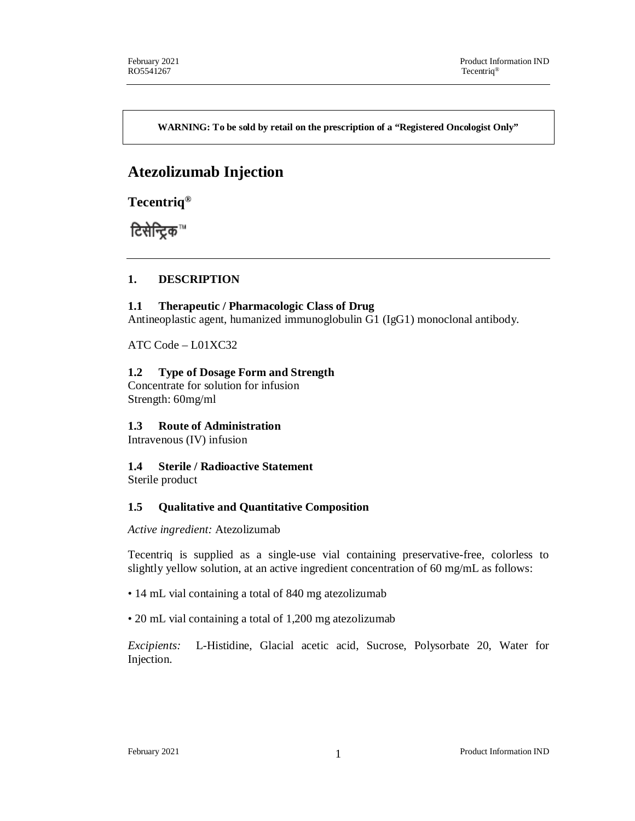**WARNING: To be sold by retail on the prescription of a "Registered Oncologist Only"**

# **Atezolizumab Injection**

**Tecentriq®**

टिसेन्ट्रिक™

## **1. DESCRIPTION**

### **1.1 Therapeutic / Pharmacologic Class of Drug**

Antineoplastic agent, humanized immunoglobulin G1 (IgG1) monoclonal antibody.

ATC Code – L01XC32

### **1.2 Type of Dosage Form and Strength**

Concentrate for solution for infusion Strength: 60mg/ml

## **1.3 Route of Administration**

Intravenous (IV) infusion

## **1.4 Sterile / Radioactive Statement**

Sterile product

## **1.5 Qualitative and Quantitative Composition**

*Active ingredient:* Atezolizumab

Tecentriq is supplied as a single-use vial containing preservative-free, colorless to slightly yellow solution, at an active ingredient concentration of 60 mg/mL as follows:

- 14 mL vial containing a total of 840 mg atezolizumab
- 20 mL vial containing a total of 1,200 mg atezolizumab

*Excipients:* L-Histidine, Glacial acetic acid, Sucrose, Polysorbate 20, Water for Injection.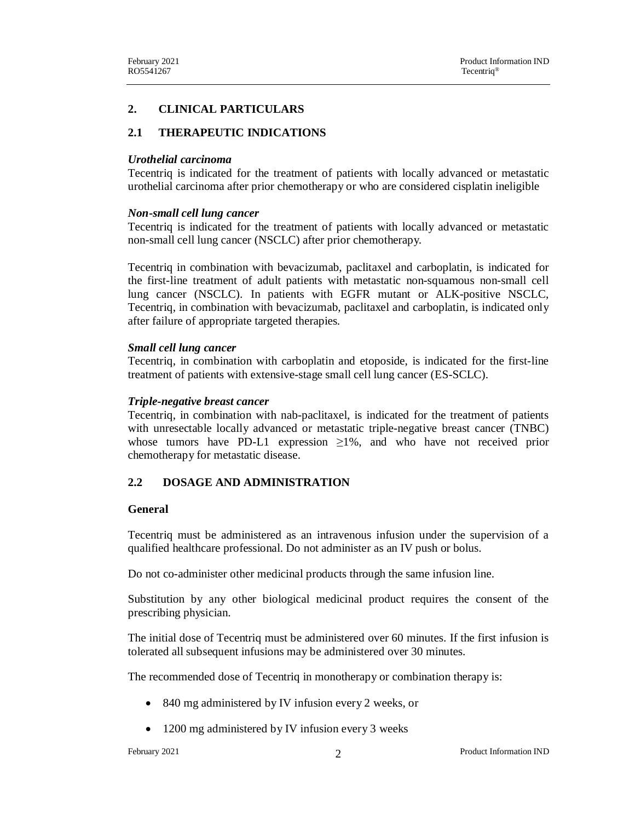#### **2. CLINICAL PARTICULARS**

### **2.1 THERAPEUTIC INDICATIONS**

#### *Urothelial carcinoma*

Tecentriq is indicated for the treatment of patients with locally advanced or metastatic urothelial carcinoma after prior chemotherapy or who are considered cisplatin ineligible

#### *Non-small cell lung cancer*

Tecentriq is indicated for the treatment of patients with locally advanced or metastatic non-small cell lung cancer (NSCLC) after prior chemotherapy.

Tecentriq in combination with bevacizumab, paclitaxel and carboplatin, is indicated for the first-line treatment of adult patients with metastatic non-squamous non-small cell lung cancer (NSCLC). In patients with EGFR mutant or ALK-positive NSCLC, Tecentriq, in combination with bevacizumab, paclitaxel and carboplatin, is indicated only after failure of appropriate targeted therapies.

#### *Small cell lung cancer*

Tecentriq, in combination with carboplatin and etoposide, is indicated for the first-line treatment of patients with extensive-stage small cell lung cancer (ES-SCLC).

#### *Triple-negative breast cancer*

Tecentriq, in combination with nab-paclitaxel, is indicated for the treatment of patients with unresectable locally advanced or metastatic triple-negative breast cancer (TNBC) whose tumors have PD-L1 expression  $\geq 1\%$ , and who have not received prior chemotherapy for metastatic disease.

#### **2.2 DOSAGE AND ADMINISTRATION**

#### **General**

Tecentriq must be administered as an intravenous infusion under the supervision of a qualified healthcare professional. Do not administer as an IV push or bolus.

Do not co-administer other medicinal products through the same infusion line.

Substitution by any other biological medicinal product requires the consent of the prescribing physician.

The initial dose of Tecentriq must be administered over 60 minutes. If the first infusion is tolerated all subsequent infusions may be administered over 30 minutes.

The recommended dose of Tecentriq in monotherapy or combination therapy is:

- 840 mg administered by IV infusion every 2 weeks, or
- 1200 mg administered by IV infusion every 3 weeks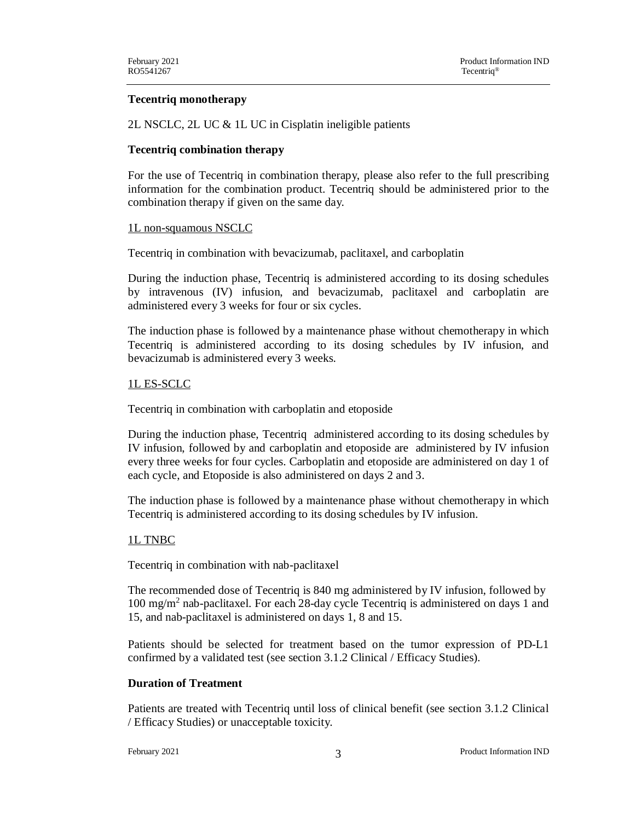### **Tecentriq monotherapy**

2L NSCLC, 2L UC & 1L UC in Cisplatin ineligible patients

### **Tecentriq combination therapy**

For the use of Tecentriq in combination therapy, please also refer to the full prescribing information for the combination product. Tecentriq should be administered prior to the combination therapy if given on the same day.

### 1L non-squamous NSCLC

Tecentriq in combination with bevacizumab, paclitaxel, and carboplatin

During the induction phase, Tecentriq is administered according to its dosing schedules by intravenous (IV) infusion, and bevacizumab, paclitaxel and carboplatin are administered every 3 weeks for four or six cycles.

The induction phase is followed by a maintenance phase without chemotherapy in which Tecentriq is administered according to its dosing schedules by IV infusion, and bevacizumab is administered every 3 weeks.

### 1L ES-SCLC

Tecentriq in combination with carboplatin and etoposide

During the induction phase, Tecentriq administered according to its dosing schedules by IV infusion, followed by and carboplatin and etoposide are administered by IV infusion every three weeks for four cycles. Carboplatin and etoposide are administered on day 1 of each cycle, and Etoposide is also administered on days 2 and 3.

The induction phase is followed by a maintenance phase without chemotherapy in which Tecentriq is administered according to its dosing schedules by IV infusion.

### 1L TNBC

Tecentriq in combination with nab-paclitaxel

The recommended dose of Tecentriq is 840 mg administered by IV infusion, followed by 100 mg/m<sup>2</sup> nab-paclitaxel. For each 28-day cycle Tecentriq is administered on days 1 and 15, and nab-paclitaxel is administered on days 1, 8 and 15.

Patients should be selected for treatment based on the tumor expression of PD-L1 confirmed by a validated test (see section 3.1.2 Clinical / Efficacy Studies).

### **Duration of Treatment**

Patients are treated with Tecentriq until loss of clinical benefit (see section 3.1.2 Clinical / Efficacy Studies) or unacceptable toxicity.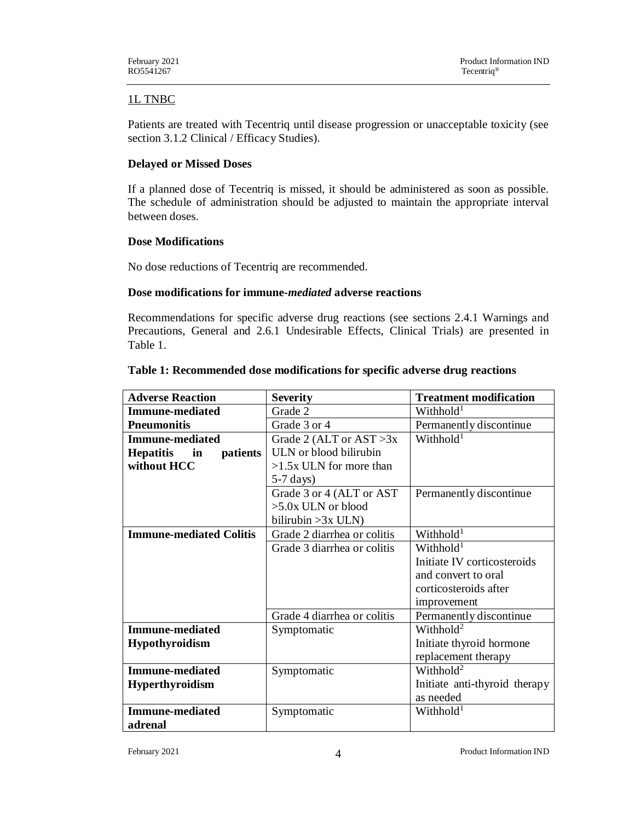## 1L TNBC

Patients are treated with Tecentriq until disease progression or unacceptable toxicity (see section 3.1.2 Clinical / Efficacy Studies).

### **Delayed or Missed Doses**

If a planned dose of Tecentriq is missed, it should be administered as soon as possible. The schedule of administration should be adjusted to maintain the appropriate interval between doses.

### **Dose Modifications**

No dose reductions of Tecentriq are recommended.

### **Dose modifications for immune-***mediated* **adverse reactions**

Recommendations for specific adverse drug reactions (see sections 2.4.1 Warnings and Precautions, General and 2.6.1 Undesirable Effects, Clinical Trials) are presented in Table 1.

| <b>Adverse Reaction</b>            | <b>Severity</b>             | <b>Treatment modification</b> |
|------------------------------------|-----------------------------|-------------------------------|
| <b>Immune-mediated</b>             | Grade 2                     | Withhold <sup>1</sup>         |
| <b>Pneumonitis</b>                 | Grade 3 or 4                | Permanently discontinue       |
| Immune-mediated                    | Grade 2 (ALT or $AST > 3x$  | Withhold <sup>1</sup>         |
| <b>Hepatitis</b><br>in<br>patients | ULN or blood bilirubin      |                               |
| without HCC                        | $>1.5x$ ULN for more than   |                               |
|                                    | $5-7 \text{ days}$          |                               |
|                                    | Grade 3 or 4 (ALT or AST)   | Permanently discontinue       |
|                                    | $>5.0x$ ULN or blood        |                               |
|                                    | bilirubin $>3x$ ULN)        |                               |
| <b>Immune-mediated Colitis</b>     | Grade 2 diarrhea or colitis | Withhold <sup>1</sup>         |
|                                    | Grade 3 diarrhea or colitis | Withhold <sup>1</sup>         |
|                                    |                             | Initiate IV corticosteroids   |
|                                    |                             | and convert to oral           |
|                                    |                             | corticosteroids after         |
|                                    |                             | improvement                   |
|                                    | Grade 4 diarrhea or colitis | Permanently discontinue       |
| <b>Immune-mediated</b>             | Symptomatic                 | Withhold <sup>2</sup>         |
| <b>Hypothyroidism</b>              |                             | Initiate thyroid hormone      |
|                                    |                             | replacement therapy           |
| <b>Immune-mediated</b>             | Symptomatic                 | Withhold <sup>2</sup>         |
| <b>Hyperthyroidism</b>             |                             | Initiate anti-thyroid therapy |
|                                    |                             | as needed                     |
| <b>Immune-mediated</b>             | Symptomatic                 | Withhold <sup>1</sup>         |
| adrenal                            |                             |                               |

### **Table 1: Recommended dose modifications for specific adverse drug reactions**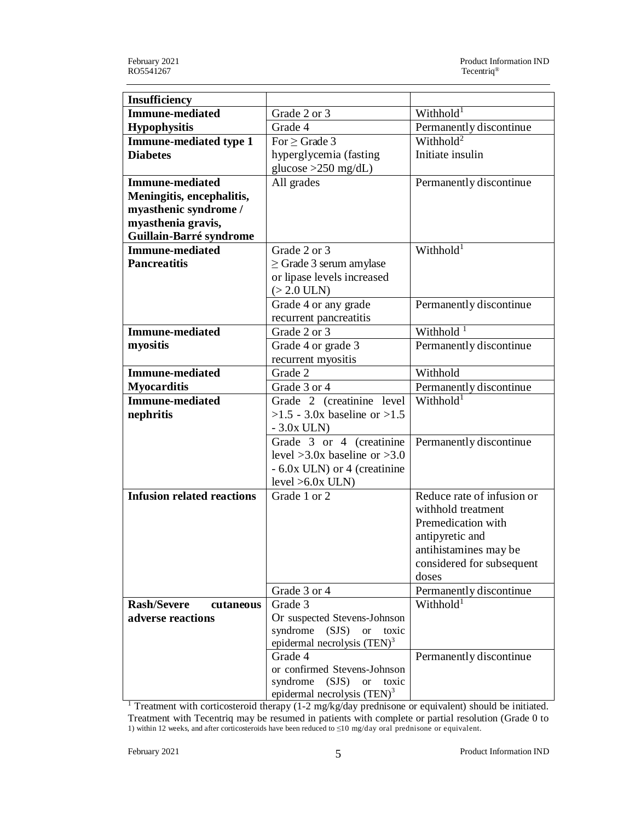| <b>Insufficiency</b>              |                                                            |                            |
|-----------------------------------|------------------------------------------------------------|----------------------------|
| <b>Immune-mediated</b>            | Grade 2 or 3                                               | Withhold <sup>1</sup>      |
| <b>Hypophysitis</b>               | Grade 4                                                    | Permanently discontinue    |
| <b>Immune-mediated type 1</b>     | For $\geq$ Grade 3                                         | Withhold <sup>2</sup>      |
| <b>Diabetes</b>                   | hyperglycemia (fasting                                     | Initiate insulin           |
|                                   | glucose $>250$ mg/dL)                                      |                            |
| <b>Immune-mediated</b>            | All grades                                                 | Permanently discontinue    |
| Meningitis, encephalitis,         |                                                            |                            |
| myasthenic syndrome /             |                                                            |                            |
| myasthenia gravis,                |                                                            |                            |
| Guillain-Barré syndrome           |                                                            |                            |
| <b>Immune-mediated</b>            | Grade 2 or 3                                               | Withhold <sup>1</sup>      |
| <b>Pancreatitis</b>               | $\geq$ Grade 3 serum amylase                               |                            |
|                                   | or lipase levels increased                                 |                            |
|                                   | $(>2.0$ ULN)                                               |                            |
|                                   | Grade 4 or any grade                                       | Permanently discontinue    |
|                                   | recurrent pancreatitis                                     |                            |
| <b>Immune-mediated</b>            | Grade 2 or 3                                               | Withhold <sup>1</sup>      |
| myositis                          | Grade 4 or grade 3                                         | Permanently discontinue    |
|                                   | recurrent myositis                                         |                            |
| <b>Immune-mediated</b>            | Grade 2                                                    | Withhold                   |
| <b>Myocarditis</b>                | Grade 3 or 4                                               | Permanently discontinue    |
| <b>Immune-mediated</b>            | Grade 2 (creatinine level                                  | Withhold <sup>1</sup>      |
| nephritis                         | $>1.5 - 3.0x$ baseline or $>1.5$                           |                            |
|                                   | $-3.0x$ ULN)                                               |                            |
|                                   | Grade 3 or 4 (creatinine                                   | Permanently discontinue    |
|                                   | level $>3.0x$ baseline or $>3.0$                           |                            |
|                                   | $-6.0x$ ULN) or 4 (creatinine                              |                            |
|                                   | $level > 6.0x$ ULN)                                        |                            |
| <b>Infusion related reactions</b> | Grade 1 or 2                                               | Reduce rate of infusion or |
|                                   |                                                            | withhold treatment         |
|                                   |                                                            | Premedication with         |
|                                   |                                                            | antipyretic and            |
|                                   |                                                            | antihistamines may be      |
|                                   |                                                            | considered for subsequent  |
|                                   |                                                            | doses                      |
|                                   | Grade 3 or 4                                               | Permanently discontinue    |
| <b>Rash/Severe</b><br>cutaneous   | Grade 3                                                    | Withhold <sup>1</sup>      |
| adverse reactions                 |                                                            |                            |
|                                   | Or suspected Stevens-Johnson                               |                            |
|                                   | syndrome<br>(SJS)<br><b>or</b><br>toxic                    |                            |
|                                   | epidermal necrolysis (TEN) <sup>3</sup>                    |                            |
|                                   | Grade 4                                                    | Permanently discontinue    |
|                                   | or confirmed Stevens-Johnson<br>syndrome (SJS) or<br>toxic |                            |

 $\frac{1}{1}$  Treatment with corticosteroid therapy (1-2 mg/kg/day prednisone or equivalent) should be initiated. Treatment with Tecentriq may be resumed in patients with complete or partial resolution (Grade 0 to 1) within 12 weeks, and after corticosteroids have been reduced to ≤10 mg/day oral prednisone or equivalent.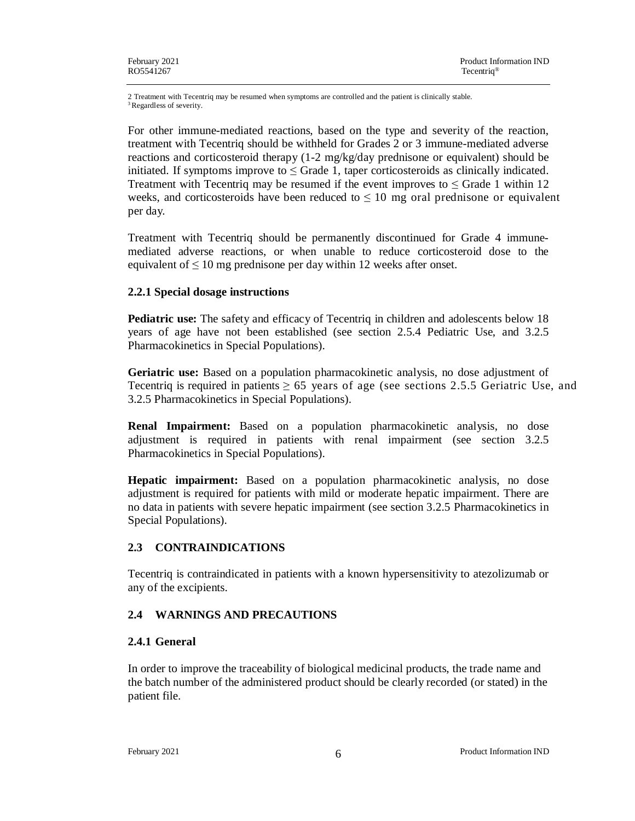2 Treatment with Tecentriq may be resumed when symptoms are controlled and the patient is clinically stable. <sup>3</sup> Regardless of severity.

For other immune-mediated reactions, based on the type and severity of the reaction, treatment with Tecentriq should be withheld for Grades 2 or 3 immune-mediated adverse reactions and corticosteroid therapy (1-2 mg/kg/day prednisone or equivalent) should be initiated. If symptoms improve to  $\leq$  Grade 1, taper corticosteroids as clinically indicated. Treatment with Tecentriq may be resumed if the event improves to  $\leq$  Grade 1 within 12 weeks, and corticosteroids have been reduced to  $\leq 10$  mg oral prednisone or equivalent per day.

Treatment with Tecentriq should be permanently discontinued for Grade 4 immunemediated adverse reactions, or when unable to reduce corticosteroid dose to the equivalent of  $\leq 10$  mg prednisone per day within 12 weeks after onset.

### **2.2.1 Special dosage instructions**

**Pediatric use:** The safety and efficacy of Tecentriq in children and adolescents below 18 years of age have not been established (see section 2.5.4 Pediatric Use, and 3.2.5 Pharmacokinetics in Special Populations).

**Geriatric use:** Based on a population pharmacokinetic analysis, no dose adjustment of Tecentriq is required in patients  $\geq 65$  years of age (see sections 2.5.5 Geriatric Use, and 3.2.5 Pharmacokinetics in Special Populations).

**Renal Impairment:** Based on a population pharmacokinetic analysis, no dose adjustment is required in patients with renal impairment (see section 3.2.5 Pharmacokinetics in Special Populations).

**Hepatic impairment:** Based on a population pharmacokinetic analysis, no dose adjustment is required for patients with mild or moderate hepatic impairment. There are no data in patients with severe hepatic impairment (see section 3.2.5 Pharmacokinetics in Special Populations).

## **2.3 CONTRAINDICATIONS**

Tecentriq is contraindicated in patients with a known hypersensitivity to atezolizumab or any of the excipients.

## **2.4 WARNINGS AND PRECAUTIONS**

### **2.4.1 General**

In order to improve the traceability of biological medicinal products, the trade name and the batch number of the administered product should be clearly recorded (or stated) in the patient file.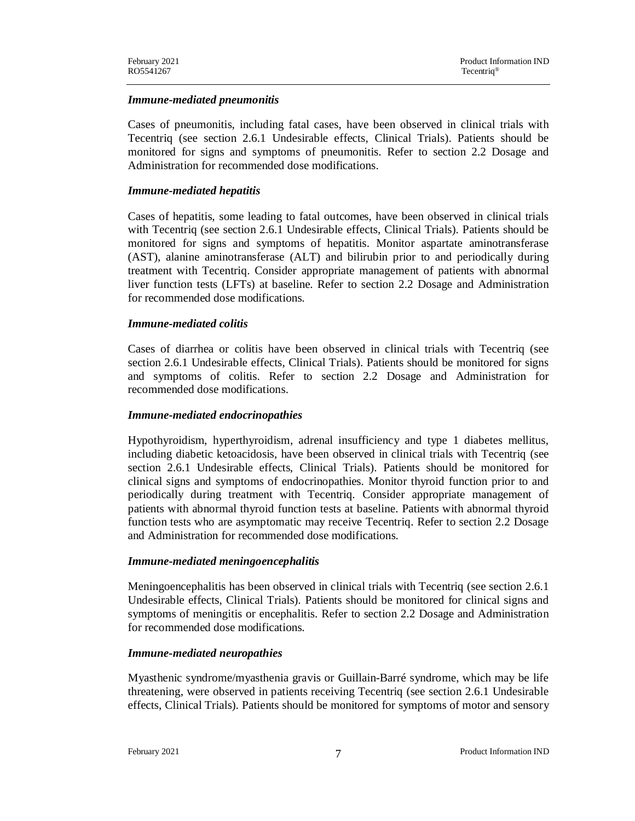### *Immune-mediated pneumonitis*

Cases of pneumonitis, including fatal cases, have been observed in clinical trials with Tecentriq (see section 2.6.1 Undesirable effects, Clinical Trials). Patients should be monitored for signs and symptoms of pneumonitis. Refer to section 2.2 Dosage and Administration for recommended dose modifications.

#### *Immune-mediated hepatitis*

Cases of hepatitis, some leading to fatal outcomes, have been observed in clinical trials with Tecentriq (see section 2.6.1 Undesirable effects, Clinical Trials). Patients should be monitored for signs and symptoms of hepatitis. Monitor aspartate aminotransferase (AST), alanine aminotransferase (ALT) and bilirubin prior to and periodically during treatment with Tecentriq. Consider appropriate management of patients with abnormal liver function tests (LFTs) at baseline. Refer to section 2.2 Dosage and Administration for recommended dose modifications.

#### *Immune-mediated colitis*

Cases of diarrhea or colitis have been observed in clinical trials with Tecentriq (see section 2.6.1 Undesirable effects, Clinical Trials). Patients should be monitored for signs and symptoms of colitis. Refer to section 2.2 Dosage and Administration for recommended dose modifications.

#### *Immune-mediated endocrinopathies*

Hypothyroidism, hyperthyroidism, adrenal insufficiency and type 1 diabetes mellitus, including diabetic ketoacidosis, have been observed in clinical trials with Tecentriq (see section 2.6.1 Undesirable effects, Clinical Trials). Patients should be monitored for clinical signs and symptoms of endocrinopathies. Monitor thyroid function prior to and periodically during treatment with Tecentriq. Consider appropriate management of patients with abnormal thyroid function tests at baseline. Patients with abnormal thyroid function tests who are asymptomatic may receive Tecentriq. Refer to section 2.2 Dosage and Administration for recommended dose modifications.

### *Immune-mediated meningoencephalitis*

Meningoencephalitis has been observed in clinical trials with Tecentriq (see section 2.6.1 Undesirable effects, Clinical Trials). Patients should be monitored for clinical signs and symptoms of meningitis or encephalitis. Refer to section 2.2 Dosage and Administration for recommended dose modifications.

#### *Immune-mediated neuropathies*

Myasthenic syndrome/myasthenia gravis or Guillain-Barré syndrome, which may be life threatening, were observed in patients receiving Tecentriq (see section 2.6.1 Undesirable effects, Clinical Trials). Patients should be monitored for symptoms of motor and sensory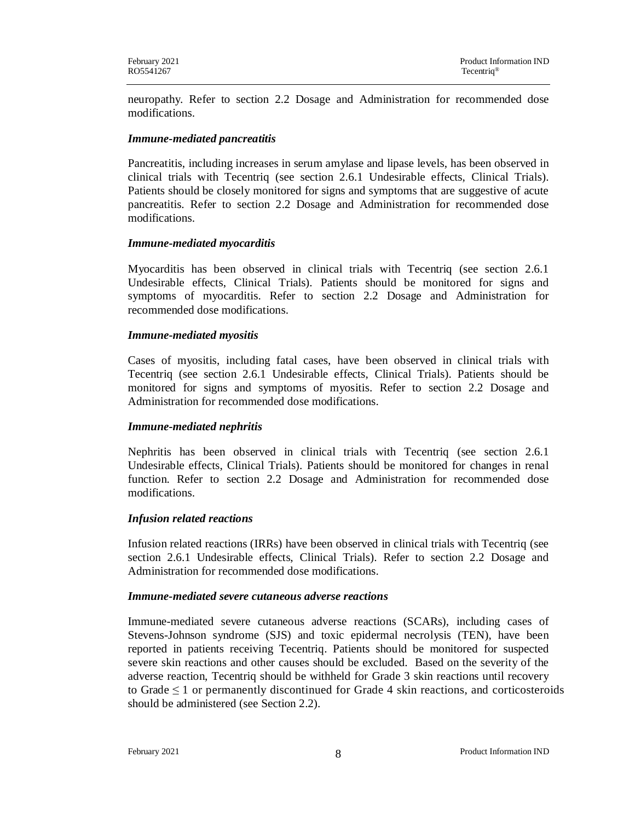neuropathy. Refer to section 2.2 Dosage and Administration for recommended dose modifications.

### *Immune-mediated pancreatitis*

Pancreatitis, including increases in serum amylase and lipase levels, has been observed in clinical trials with Tecentriq (see section 2.6.1 Undesirable effects, Clinical Trials). Patients should be closely monitored for signs and symptoms that are suggestive of acute pancreatitis. Refer to section 2.2 Dosage and Administration for recommended dose modifications.

### *Immune-mediated myocarditis*

Myocarditis has been observed in clinical trials with Tecentriq (see section 2.6.1 Undesirable effects, Clinical Trials). Patients should be monitored for signs and symptoms of myocarditis. Refer to section 2.2 Dosage and Administration for recommended dose modifications.

### *Immune-mediated myositis*

Cases of myositis, including fatal cases, have been observed in clinical trials with Tecentriq (see section 2.6.1 Undesirable effects, Clinical Trials). Patients should be monitored for signs and symptoms of myositis. Refer to section 2.2 Dosage and Administration for recommended dose modifications.

## *Immune-mediated nephritis*

Nephritis has been observed in clinical trials with Tecentriq (see section 2.6.1 Undesirable effects, Clinical Trials). Patients should be monitored for changes in renal function. Refer to section 2.2 Dosage and Administration for recommended dose modifications.

## *Infusion related reactions*

Infusion related reactions (IRRs) have been observed in clinical trials with Tecentriq (see section 2.6.1 Undesirable effects, Clinical Trials). Refer to section 2.2 Dosage and Administration for recommended dose modifications.

### *Immune-mediated severe cutaneous adverse reactions*

Immune-mediated severe cutaneous adverse reactions (SCARs), including cases of Stevens-Johnson syndrome (SJS) and toxic epidermal necrolysis (TEN), have been reported in patients receiving Tecentriq. Patients should be monitored for suspected severe skin reactions and other causes should be excluded. Based on the severity of the adverse reaction, Tecentriq should be withheld for Grade 3 skin reactions until recovery to Grade  $\leq 1$  or permanently discontinued for Grade 4 skin reactions, and corticosteroids should be administered (see Section 2.2).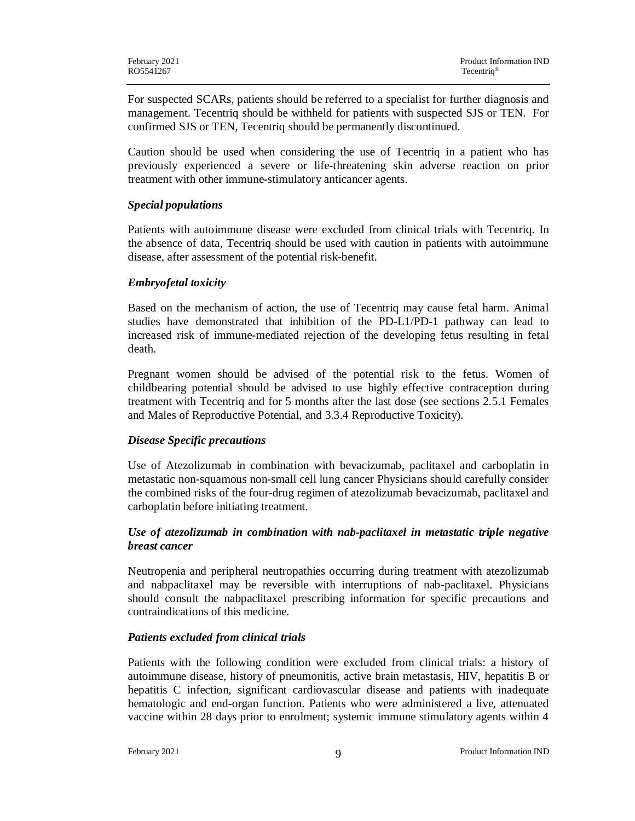For suspected SCARs, patients should be referred to a specialist for further diagnosis and management. Tecentriq should be withheld for patients with suspected SJS or TEN. For confirmed SJS or TEN, Tecentriq should be permanently discontinued.

Caution should be used when considering the use of Tecentriq in a patient who has previously experienced a severe or life-threatening skin adverse reaction on prior treatment with other immune-stimulatory anticancer agents.

### *Special populations*

Patients with autoimmune disease were excluded from clinical trials with Tecentriq. In the absence of data, Tecentriq should be used with caution in patients with autoimmune disease, after assessment of the potential risk-benefit.

### *Embryofetal toxicity*

Based on the mechanism of action, the use of Tecentriq may cause fetal harm. Animal studies have demonstrated that inhibition of the PD-L1/PD-1 pathway can lead to increased risk of immune-mediated rejection of the developing fetus resulting in fetal death.

Pregnant women should be advised of the potential risk to the fetus. Women of childbearing potential should be advised to use highly effective contraception during treatment with Tecentriq and for 5 months after the last dose (see sections 2.5.1 Females and Males of Reproductive Potential, and 3.3.4 Reproductive Toxicity).

## *Disease Specific precautions*

Use of Atezolizumab in combination with bevacizumab, paclitaxel and carboplatin in metastatic non-squamous non-small cell lung cancer Physicians should carefully consider the combined risks of the four-drug regimen of atezolizumab bevacizumab, paclitaxel and carboplatin before initiating treatment.

## *Use of atezolizumab in combination with nab-paclitaxel in metastatic triple negative breast cancer*

Neutropenia and peripheral neutropathies occurring during treatment with atezolizumab and nabpaclitaxel may be reversible with interruptions of nab-paclitaxel. Physicians should consult the nabpaclitaxel prescribing information for specific precautions and contraindications of this medicine.

### *Patients excluded from clinical trials*

Patients with the following condition were excluded from clinical trials: a history of autoimmune disease, history of pneumonitis, active brain metastasis, HIV, hepatitis B or hepatitis C infection, significant cardiovascular disease and patients with inadequate hematologic and end-organ function. Patients who were administered a live, attenuated vaccine within 28 days prior to enrolment; systemic immune stimulatory agents within 4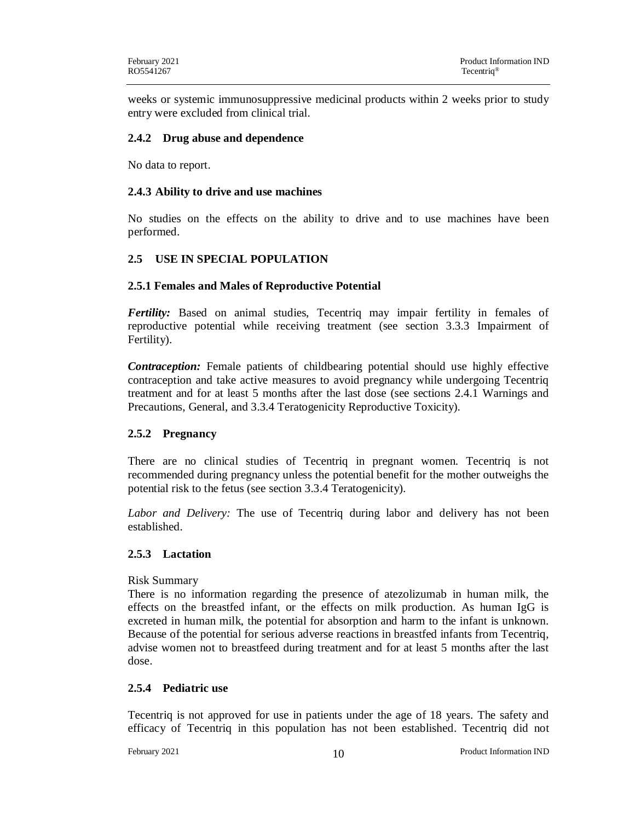weeks or systemic immunosuppressive medicinal products within 2 weeks prior to study entry were excluded from clinical trial.

### **2.4.2 Drug abuse and dependence**

No data to report.

### **2.4.3 Ability to drive and use machines**

No studies on the effects on the ability to drive and to use machines have been performed.

## **2.5 USE IN SPECIAL POPULATION**

### **2.5.1 Females and Males of Reproductive Potential**

*Fertility:* Based on animal studies, Tecentriq may impair fertility in females of reproductive potential while receiving treatment (see section 3.3.3 Impairment of Fertility).

*Contraception:* Female patients of childbearing potential should use highly effective contraception and take active measures to avoid pregnancy while undergoing Tecentriq treatment and for at least 5 months after the last dose (see sections 2.4.1 Warnings and Precautions, General, and 3.3.4 Teratogenicity Reproductive Toxicity).

## **2.5.2 Pregnancy**

There are no clinical studies of Tecentriq in pregnant women. Tecentriq is not recommended during pregnancy unless the potential benefit for the mother outweighs the potential risk to the fetus (see section 3.3.4 Teratogenicity).

*Labor and Delivery:* The use of Tecentriq during labor and delivery has not been established.

### **2.5.3 Lactation**

### Risk Summary

There is no information regarding the presence of atezolizumab in human milk, the effects on the breastfed infant, or the effects on milk production. As human IgG is excreted in human milk, the potential for absorption and harm to the infant is unknown. Because of the potential for serious adverse reactions in breastfed infants from Tecentriq, advise women not to breastfeed during treatment and for at least 5 months after the last dose.

### **2.5.4 Pediatric use**

Tecentriq is not approved for use in patients under the age of 18 years. The safety and efficacy of Tecentriq in this population has not been established. Tecentriq did not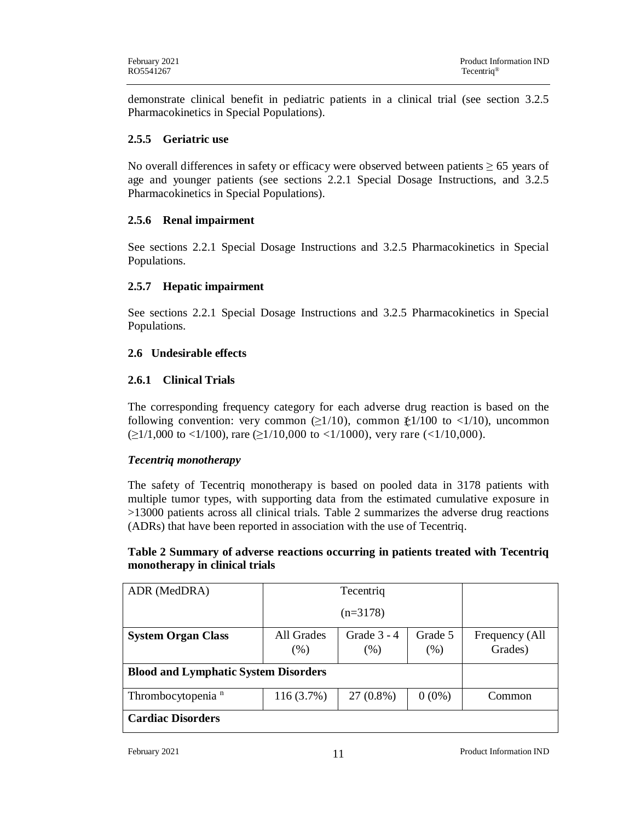demonstrate clinical benefit in pediatric patients in a clinical trial (see section 3.2.5 Pharmacokinetics in Special Populations).

## **2.5.5 Geriatric use**

No overall differences in safety or efficacy were observed between patients  $\geq 65$  years of age and younger patients (see sections 2.2.1 Special Dosage Instructions, and 3.2.5 Pharmacokinetics in Special Populations).

## **2.5.6 Renal impairment**

See sections 2.2.1 Special Dosage Instructions and 3.2.5 Pharmacokinetics in Special Populations.

## **2.5.7 Hepatic impairment**

See sections 2.2.1 Special Dosage Instructions and 3.2.5 Pharmacokinetics in Special Populations.

## **2.6 Undesirable effects**

## **2.6.1 Clinical Trials**

The corresponding frequency category for each adverse drug reaction is based on the following convention: very common  $(\geq 1/10)$ , common  $\geq 1/100$  to <1/10), uncommon  $(\geq 1/1,000$  to <1/100), rare ( $\geq 1/10,000$  to <1/1000), very rare (<1/10,000).

## *Tecentriq monotherapy*

The safety of Tecentriq monotherapy is based on pooled data in 3178 patients with multiple tumor types, with supporting data from the estimated cumulative exposure in >13000 patients across all clinical trials. Table 2 summarizes the adverse drug reactions (ADRs) that have been reported in association with the use of Tecentriq.

## **Table 2 Summary of adverse reactions occurring in patients treated with Tecentriq monotherapy in clinical trials**

| ADR (MedDRA)                                |              | Tecentriq     |          |                |
|---------------------------------------------|--------------|---------------|----------|----------------|
|                                             |              |               |          |                |
| <b>System Organ Class</b>                   | All Grades   | Grade $3 - 4$ | Grade 5  | Frequency (All |
|                                             | (% )         | $(\%)$        | (% )     | Grades)        |
| <b>Blood and Lymphatic System Disorders</b> |              |               |          |                |
| Thrombocytopenia <sup>n</sup>               | $116(3.7\%)$ | 27 (0.8%)     | $0(0\%)$ | Common         |
| <b>Cardiac Disorders</b>                    |              |               |          |                |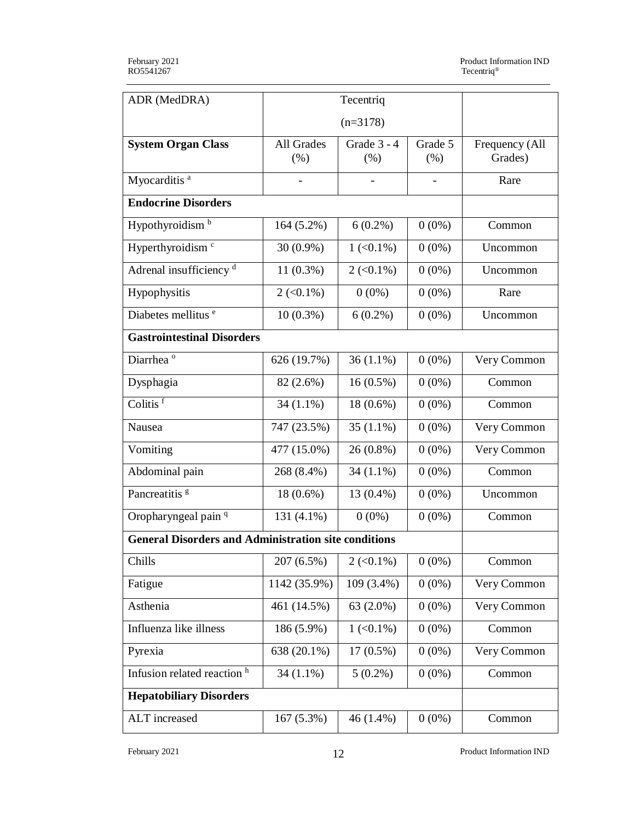| ADR (MedDRA)                                                | Tecentriq                        |                     |                 |                           |
|-------------------------------------------------------------|----------------------------------|---------------------|-----------------|---------------------------|
|                                                             |                                  |                     |                 |                           |
| <b>System Organ Class</b>                                   | All Grades<br>(% )               | Grade 3 - 4<br>(% ) | Grade 5<br>(% ) | Frequency (All<br>Grades) |
| Myocarditis <sup>a</sup>                                    |                                  |                     |                 | Rare                      |
| <b>Endocrine Disorders</b>                                  |                                  |                     |                 |                           |
| Hypothyroidism <sup>b</sup>                                 | $164(5.2\%)$                     | $6(0.2\%)$          | $0(0\%)$        | Common                    |
| Hyperthyroidism <sup>c</sup>                                | $30(0.9\%)$                      | $1 (< 0.1\%)$       | $0(0\%)$        | Uncommon                  |
| Adrenal insufficiency <sup>d</sup>                          | $11(0.3\%)$                      | $2 (< 0.1\%)$       | $0(0\%)$        | Uncommon                  |
| Hypophysitis                                                | $2 \left( \langle 0.1\% \right)$ | $0(0\%)$            | $0(0\%)$        | Rare                      |
| Diabetes mellitus <sup>e</sup>                              | $10(0.3\%)$                      | $6(0.2\%)$          | $0(0\%)$        | Uncommon                  |
| <b>Gastrointestinal Disorders</b>                           |                                  |                     |                 |                           |
| Diarrhea <sup>o</sup>                                       | 626 (19.7%)                      | $36(1.1\%)$         | $0(0\%)$        | Very Common               |
| Dysphagia                                                   | 82 (2.6%)                        | $16(0.5\%)$         | $0(0\%)$        | Common                    |
| Colitis <sup>f</sup>                                        | $34(1.1\%)$                      | 18 (0.6%)           | $0(0\%)$        | Common                    |
| Nausea                                                      | 747 (23.5%)                      | $35(1.1\%)$         | $0(0\%)$        | Very Common               |
| Vomiting                                                    | 477 (15.0%)                      | 26 (0.8%)           | $0(0\%)$        | Very Common               |
| Abdominal pain                                              | 268 (8.4%)                       | $34(1.1\%)$         | $0(0\%)$        | Common                    |
| Pancreatitis <sup>8</sup>                                   | $18(0.6\%)$                      | 13 (0.4%)           | $0(0\%)$        | Uncommon                  |
| Oropharyngeal pain <sup>q</sup>                             | $131(4.1\%)$                     | $0(0\%)$            | $0(0\%)$        | Common                    |
| <b>General Disorders and Administration site conditions</b> |                                  |                     |                 |                           |
| Chills                                                      | 207 (6.5%)                       | $2 (< 0.1\%)$       | $0(0\%)$        | Common                    |
| Fatigue                                                     | 1142 (35.9%)                     | 109 (3.4%)          | $0(0\%)$        | Very Common               |
| Asthenia                                                    | 461 (14.5%)                      | 63 (2.0%)           | $0(0\%)$        | Very Common               |
| Influenza like illness                                      | 186 (5.9%)                       | $1 (< 0.1\%)$       | $0(0\%)$        | Common                    |
| Pyrexia                                                     | 638 (20.1%)                      | 17 (0.5%)           | $0(0\%)$        | Very Common               |
| Infusion related reaction h                                 | $34(1.1\%)$                      | $5(0.2\%)$          | $0(0\%)$        | Common                    |
| <b>Hepatobiliary Disorders</b>                              |                                  |                     |                 |                           |
| ALT increased                                               | 167 (5.3%)                       | 46 (1.4%)           | $0(0\%)$        | Common                    |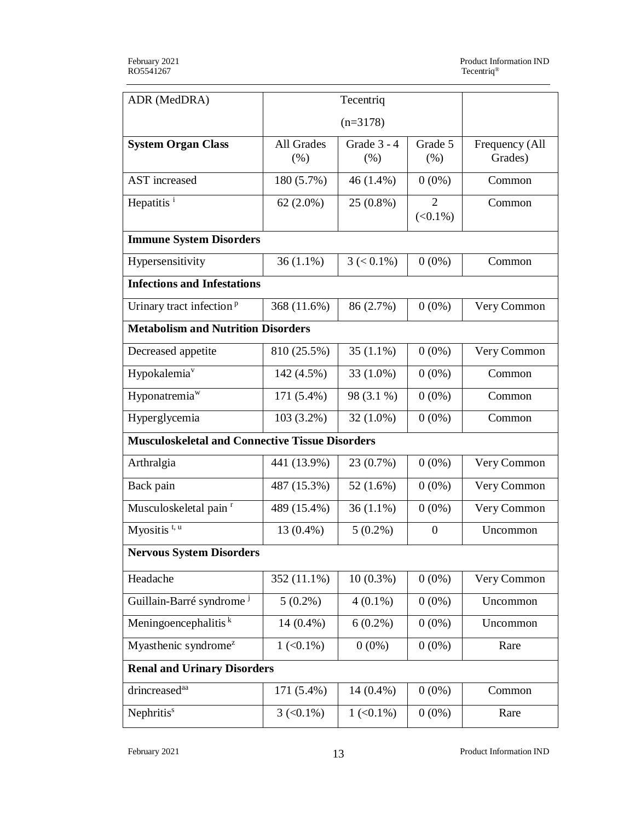| ADR (MedDRA)                                           | Tecentriq                |                     |                              |                           |
|--------------------------------------------------------|--------------------------|---------------------|------------------------------|---------------------------|
|                                                        |                          |                     |                              |                           |
| <b>System Organ Class</b>                              | All Grades<br>(% )       | Grade 3 - 4<br>(% ) | Grade 5<br>(%)               | Frequency (All<br>Grades) |
| <b>AST</b> increased                                   | 180 (5.7%)               | 46 (1.4%)           | $0(0\%)$                     | Common                    |
| Hepatitis <sup>i</sup>                                 | $62(2.0\%)$              | 25 (0.8%)           | $\overline{2}$<br>$(<0.1\%)$ | Common                    |
| <b>Immune System Disorders</b>                         |                          |                     |                              |                           |
| Hypersensitivity                                       | $36(1.1\%)$              | $3 (< 0.1\%)$       | $0(0\%)$                     | Common                    |
| <b>Infections and Infestations</b>                     |                          |                     |                              |                           |
| Urinary tract infection <sup>p</sup>                   | 368 (11.6%)              | 86 (2.7%)           | $0(0\%)$                     | Very Common               |
| <b>Metabolism and Nutrition Disorders</b>              |                          |                     |                              |                           |
| Decreased appetite                                     | 810 (25.5%)              | 35 $(1.1\%)$        | $0(0\%)$                     | Very Common               |
| Hypokalemia <sup>v</sup>                               | 142 (4.5%)               | 33 (1.0%)           | $0(0\%)$                     | Common                    |
| Hyponatremia <sup>w</sup>                              | 171 (5.4%)               | 98 (3.1 %)          | $0(0\%)$                     | Common                    |
| Hyperglycemia                                          | $103(3.2\%)$             | $32(1.0\%)$         | $0(0\%)$                     | Common                    |
| <b>Musculoskeletal and Connective Tissue Disorders</b> |                          |                     |                              |                           |
| Arthralgia                                             | 441 (13.9%)              | 23 (0.7%)           | $0(0\%)$                     | Very Common               |
| Back pain                                              | 487 (15.3%)              | 52 (1.6%)           | $0(0\%)$                     | Very Common               |
| Musculoskeletal pain <sup>r</sup>                      | 489 (15.4%)              | $36(1.1\%)$         | $0(0\%)$                     | Very Common               |
| Myositis $t$ , u                                       | 13 (0.4%)                | $5(0.2\%)$          | $\boldsymbol{0}$             | Uncommon                  |
| <b>Nervous System Disorders</b>                        |                          |                     |                              |                           |
| Headache                                               | 352 (11.1%)              | $10(0.3\%)$         | $0(0\%)$                     | Very Common               |
| Guillain-Barré syndrome <sup>j</sup>                   | $5(0.2\%)$               | $4(0.1\%)$          | $0(0\%)$                     | Uncommon                  |
| Meningoencephalitis <sup>k</sup>                       | 14 (0.4%)                | $6(0.2\%)$          | $0(0\%)$                     | Uncommon                  |
| Myasthenic syndrome <sup>z</sup>                       | $1 (< 0.1\%)$            | $0(0\%)$            | $0(0\%)$                     | Rare                      |
| <b>Renal and Urinary Disorders</b>                     |                          |                     |                              |                           |
| drincreased <sup>aa</sup>                              | 171 (5.4%)               | $14(0.4\%)$         | $0(0\%)$                     | Common                    |
| Nephritis <sup>s</sup>                                 | $3 \left( 0.1\% \right)$ | $1 (< 0.1\%)$       | $0(0\%)$                     | Rare                      |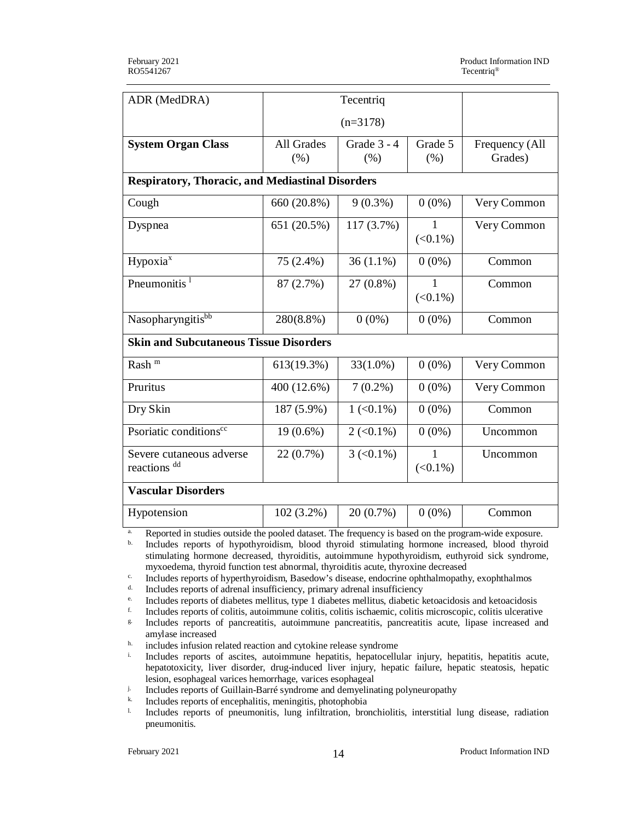| ADR (MedDRA)                                            |                    |                          |                 |                           |  |
|---------------------------------------------------------|--------------------|--------------------------|-----------------|---------------------------|--|
|                                                         | $(n=3178)$         |                          |                 |                           |  |
| <b>System Organ Class</b>                               | All Grades<br>(% ) | Grade 3 - 4<br>(% )      | Grade 5<br>(% ) | Frequency (All<br>Grades) |  |
| <b>Respiratory, Thoracic, and Mediastinal Disorders</b> |                    |                          |                 |                           |  |
| Cough                                                   | 660 (20.8%)        | $9(0.3\%)$               | $0(0\%)$        | Very Common               |  |
| Dyspnea                                                 | 651 (20.5%)        | 117 (3.7%)               | 1<br>$(<0.1\%)$ | Very Common               |  |
| Hypoxia <sup>x</sup>                                    | 75 (2.4%)          | $36(1.1\%)$              | $0(0\%)$        | Common                    |  |
| Pneumonitis <sup>1</sup>                                | 87 (2.7%)          | 27 (0.8%)                | 1<br>$(<0.1\%)$ | Common                    |  |
| Nasopharyngitisbb                                       | 280(8.8%)          | $0(0\%)$                 | $0(0\%)$        | Common                    |  |
| <b>Skin and Subcutaneous Tissue Disorders</b>           |                    |                          |                 |                           |  |
| Rash <sup>m</sup>                                       | 613(19.3%)         | $33(1.0\%)$              | $0(0\%)$        | Very Common               |  |
| Pruritus                                                | 400 (12.6%)        | $7(0.2\%)$               | $0(0\%)$        | Very Common               |  |
| Dry Skin                                                | 187 (5.9%)         | $1 (< 0.1\%)$            | $0(0\%)$        | Common                    |  |
| Psoriatic conditions <sup>cc</sup>                      | $19(0.6\%)$        | $2 (< 0.1\%)$            | $0(0\%)$        | Uncommon                  |  |
| Severe cutaneous adverse<br>reactions dd                | 22 (0.7%)          | $3 \left( 0.1\% \right)$ | 1<br>$(<0.1\%)$ | Uncommon                  |  |
| <b>Vascular Disorders</b>                               |                    |                          |                 |                           |  |
| Hypotension                                             | 102 (3.2%)         | 20 (0.7%)                | $0(0\%)$        | Common                    |  |

<sup>a.</sup> Reported in studies outside the pooled dataset. The frequency is based on the program-wide exposure.

b. Includes reports of hypothyroidism, blood thyroid stimulating hormone increased, blood thyroid stimulating hormone decreased, thyroiditis, autoimmune hypothyroidism, euthyroid sick syndrome, myxoedema, thyroid function test abnormal, thyroiditis acute, thyroxine decreased

<sup>c.</sup> Includes reports of hyperthyroidism, Basedow's disease, endocrine ophthalmopathy, exophthalmos  $\frac{d}{dx}$ . Includes reports of adrenal insufficiency, primary adrenal insufficiency.

Includes reports of adrenal insufficiency, primary adrenal insufficiency

<sup>e.</sup> Includes reports of diabetes mellitus, type 1 diabetes mellitus, diabetic ketoacidosis and ketoacidosis  $\frac{1}{2}$ .

f. Includes reports of colitis, autoimmune colitis, colitis ischaemic, colitis microscopic, colitis ulcerative

g. Includes reports of pancreatitis, autoimmune pancreatitis, pancreatitis acute, lipase increased and amylase increased

 $h.$  includes infusion related reaction and cytokine release syndrome

Includes reports of ascites, autoimmune hepatitis, hepatocellular injury, hepatitis, hepatitis acute, hepatotoxicity, liver disorder, drug-induced liver injury, hepatic failure, hepatic steatosis, hepatic lesion, esophageal varices hemorrhage, varices esophageal

<sup>j.</sup> Includes reports of Guillain-Barré syndrome and demyelinating polyneuropathy

<sup>k.</sup> Includes reports of encephalitis, meningitis, photophobia<br><sup>1.</sup> Includes reports of pneumonitis, lung infiltration, brow

l. Includes reports of pneumonitis, lung infiltration, bronchiolitis, interstitial lung disease, radiation pneumonitis.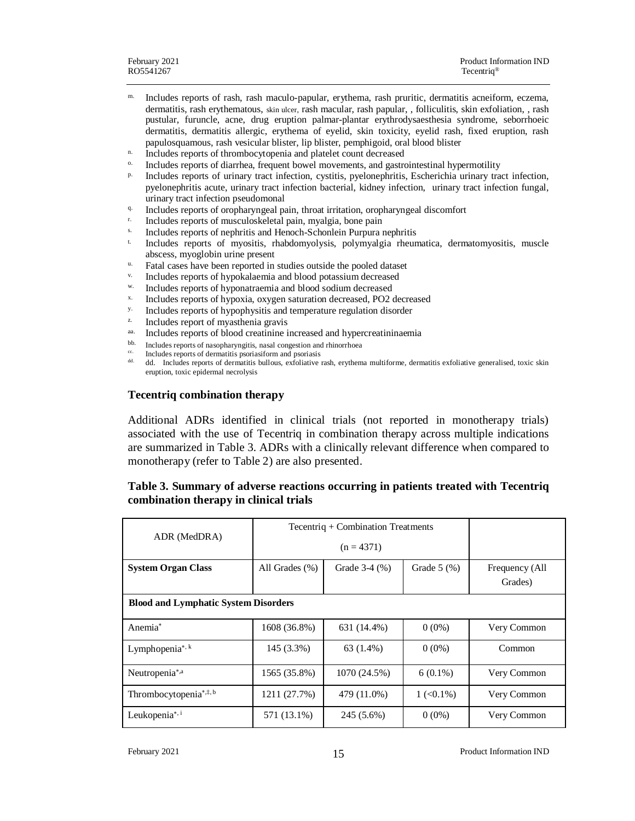- m. Includes reports of rash, rash maculo-papular, erythema, rash pruritic, dermatitis acneiform, eczema, dermatitis, rash erythematous, skin ulcer, rash macular, rash papular, , folliculitis, skin exfoliation, , rash pustular, furuncle, acne, drug eruption palmar-plantar erythrodysaesthesia syndrome, seborrhoeic dermatitis, dermatitis allergic, erythema of eyelid, skin toxicity, eyelid rash, fixed eruption, rash papulosquamous, rash vesicular blister, lip blister, pemphigoid, oral blood blister
- <sup>n.</sup> Includes reports of thrombocytopenia and platelet count decreased
- Includes reports of diarrhea, frequent bowel movements, and gastrointestinal hypermotility
- p. Includes reports of urinary tract infection, cystitis, pyelonephritis, Escherichia urinary tract infection, pyelonephritis acute, urinary tract infection bacterial, kidney infection, urinary tract infection fungal, urinary tract infection pseudomonal
- $q.$  Includes reports of oropharyngeal pain, throat irritation, oropharyngeal discomfort
- r. Includes reports of musculoskeletal pain, myalgia, bone pain
- s. Includes reports of nephritis and Henoch-Schonlein Purpura nephritis
- t. Includes reports of myositis, rhabdomyolysis, polymyalgia rheumatica, dermatomyositis, muscle abscess, myoglobin urine present
- u. Fatal cases have been reported in studies outside the pooled dataset
- v. Includes reports of hypokalaemia and blood potassium decreased
- w. Includes reports of hyponatraemia and blood sodium decreased
- x. Includes reports of hypoxia, oxygen saturation decreased, PO2 decreased
- $\frac{y}{z}$ . Includes reports of hypophysitis and temperature regulation disorder
- Includes report of myasthenia gravis
- <sup>aa.</sup> Includes reports of blood creatinine increased and hypercreatininaemia
- bb. Includes reports of nasopharyngitis, nasal congestion and rhinorrhoea
- <sup>cc</sup>. Includes reports of dermatitis psoriasiform and psoriasis  $\frac{d}{dx}$
- dd. dd. Includes reports of dermatitis bullous, exfoliative rash, erythema multiforme, dermatitis exfoliative generalised, toxic skin eruption, toxic epidermal necrolysis

### **Tecentriq combination therapy**

Additional ADRs identified in clinical trials (not reported in monotherapy trials) associated with the use of Tecentriq in combination therapy across multiple indications are summarized in Table 3. ADRs with a clinically relevant difference when compared to monotherapy (refer to Table 2) are also presented.

### **Table 3. Summary of adverse reactions occurring in patients treated with Tecentriq combination therapy in clinical trials**

| ADR (MedDRA)                                | Tecentriq + Combination Treatments |               |                                  |                |
|---------------------------------------------|------------------------------------|---------------|----------------------------------|----------------|
|                                             |                                    |               |                                  |                |
| <b>System Organ Class</b>                   | All Grades $(\% )$                 | Grade 3-4 (%) | Grade $5(%)$                     | Frequency (All |
|                                             |                                    |               |                                  | Grades)        |
| <b>Blood and Lymphatic System Disorders</b> |                                    |               |                                  |                |
| Anemia <sup>*</sup>                         | 1608 (36.8%)                       | 631 (14.4%)   | $0(0\%)$                         | Very Common    |
| Lymphopenia <sup>*, k</sup>                 | 145 (3.3%)                         | $63(1.4\%)$   | $0(0\%)$                         | Common         |
| Neutropenia*,a                              | 1565 (35.8%)                       | 1070 (24.5%)  | $6(0.1\%)$                       | Very Common    |
| Thrombocytopenia*, $\ddagger$ , b           | 1211 (27.7%)                       | 479 (11.0%)   | $1 \left( \langle 0.1\% \right)$ | Very Common    |
| Leukopenia*,i                               | 571 (13.1%)                        | 245 (5.6%)    | $0(0\%)$                         | Very Common    |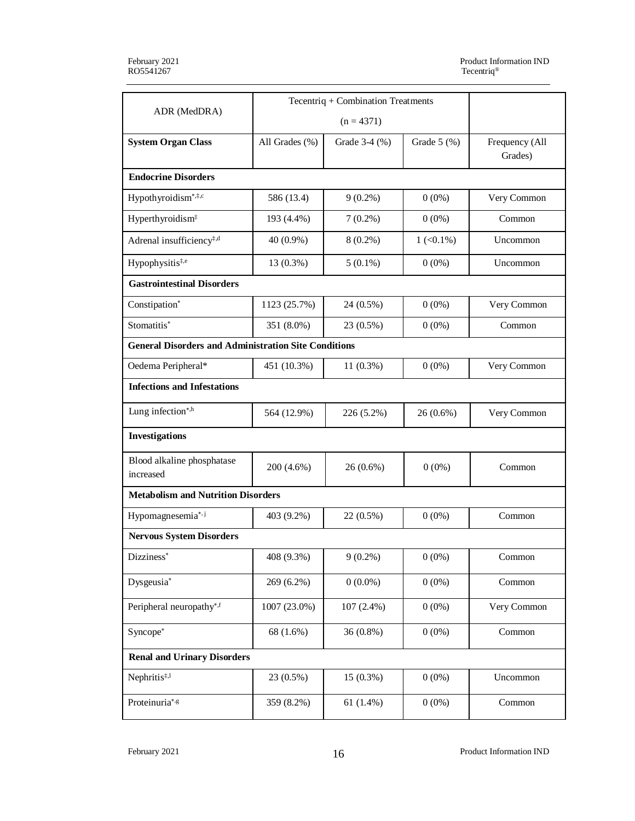|                                                             | Tecentriq + Combination Treatments |               |               |                           |
|-------------------------------------------------------------|------------------------------------|---------------|---------------|---------------------------|
| ADR (MedDRA)                                                |                                    |               |               |                           |
| <b>System Organ Class</b>                                   | All Grades (%)                     | Grade 3-4 (%) | Grade $5$ (%) | Frequency (All<br>Grades) |
| <b>Endocrine Disorders</b>                                  |                                    |               |               |                           |
| Hypothyroidism*, ‡,c                                        | 586 (13.4)                         | $9(0.2\%)$    | $0(0\%)$      | Very Common               |
| Hyperthyroidism <sup>#</sup>                                | 193 (4.4%)                         | $7(0.2\%)$    | $0(0\%)$      | Common                    |
| Adrenal insufficiency <sup>‡,d</sup>                        | $40(0.9\%)$                        | $8(0.2\%)$    | $1 (< 0.1\%)$ | Uncommon                  |
| Hypophysitis <sup>‡,e</sup>                                 | 13 (0.3%)                          | $5(0.1\%)$    | $0(0\%)$      | Uncommon                  |
| <b>Gastrointestinal Disorders</b>                           |                                    |               |               |                           |
| Constipation*                                               | 1123 (25.7%)                       | 24 (0.5%)     | $0(0\%)$      | Very Common               |
| Stomatitis*                                                 | 351 (8.0%)                         | 23 (0.5%)     | $0(0\%)$      | Common                    |
| <b>General Disorders and Administration Site Conditions</b> |                                    |               |               |                           |
| Oedema Peripheral*                                          | 451 (10.3%)                        | $11(0.3\%)$   | $0(0\%)$      | Very Common               |
| <b>Infections and Infestations</b>                          |                                    |               |               |                           |
| Lung infection*,h                                           | 564 (12.9%)                        | 226 (5.2%)    | 26 (0.6%)     | Very Common               |
| <b>Investigations</b>                                       |                                    |               |               |                           |
| Blood alkaline phosphatase<br>increased                     | 200 (4.6%)                         | $26(0.6\%)$   | $0(0\%)$      | Common                    |
| <b>Metabolism and Nutrition Disorders</b>                   |                                    |               |               |                           |
| Hypomagnesemia*,j                                           | 403 (9.2%)                         | 22 (0.5%)     | $0(0\%)$      | Common                    |
| <b>Nervous System Disorders</b>                             |                                    |               |               |                           |
| Dizziness <sup>*</sup>                                      | 408 (9.3%)                         | $9(0.2\%)$    | $0(0\%)$      | Common                    |
| Dysgeusia*                                                  | 269 (6.2%)                         | $0(0.0\%)$    | $0(0\%)$      | Common                    |
| Peripheral neuropathy*,f                                    | 1007 (23.0%)                       | 107(2.4%)     | $0(0\%)$      | Very Common               |
| Syncope*                                                    | 68 (1.6%)                          | 36 (0.8%)     | $0(0\%)$      | Common                    |
| <b>Renal and Urinary Disorders</b>                          |                                    |               |               |                           |
| Nephritis <sup>‡,1</sup>                                    | 23 (0.5%)                          | 15 (0.3%)     | $0(0\%)$      | Uncommon                  |
| Proteinuria*,g                                              | 359 (8.2%)                         | 61 $(1.4\%)$  | $0(0\%)$      | Common                    |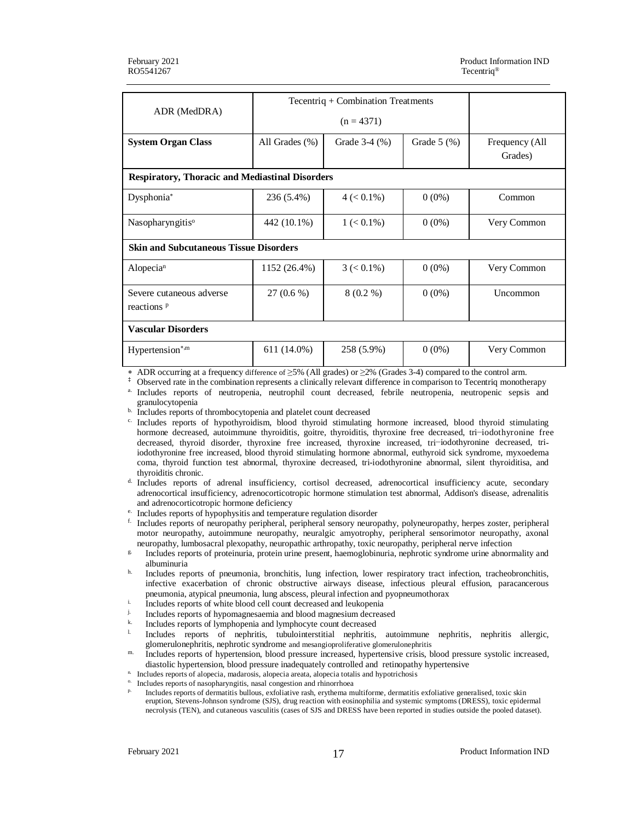|                                                        | Tecentriq + Combination Treatments |                                                                             |              |                           |
|--------------------------------------------------------|------------------------------------|-----------------------------------------------------------------------------|--------------|---------------------------|
| ADR (MedDRA)                                           |                                    | $(n = 4371)$                                                                |              |                           |
| <b>System Organ Class</b>                              | All Grades (%)                     | Grade 3-4 (%)                                                               | Grade $5(%)$ | Frequency (All<br>Grades) |
| <b>Respiratory, Thoracic and Mediastinal Disorders</b> |                                    |                                                                             |              |                           |
| Dysphonia*                                             | 236 (5.4%)                         | $4 (< 0.1\%)$                                                               | $0(0\%)$     | Common                    |
| Nasopharyngitis <sup>o</sup>                           | 442 (10.1%)                        | $1 (< 0.1\%)$                                                               | $0(0\%)$     | Very Common               |
| <b>Skin and Subcutaneous Tissue Disorders</b>          |                                    |                                                                             |              |                           |
| Alopecian                                              | 1152 (26.4%)                       | $3 \left( < 0.1\% \right)$                                                  | $0(0\%)$     | Very Common               |
| Severe cutaneous adverse<br>reactions <sup>p</sup>     | $27(0.6\%)$                        | $8(0.2\%)$                                                                  | $0(0\%)$     | Uncommon                  |
| <b>Vascular Disorders</b>                              |                                    |                                                                             |              |                           |
| Hypertension*,m                                        | 611 (14.0%)                        | 258 (5.9%)                                                                  | $0(0\%)$     | Very Common               |
| $\mu$ , ADD convenience of a frequence $150^\circ$ .   |                                    | $6 \times 50$ (All anodes) on $20$ (Cuades 2.4) compared to the control sum |              |                           |

ADR occurring at a frequency difference of  $\geq$ 5% (All grades) or  $\geq$ 2% (Grades 3-4) compared to the control arm.

‡ Observed rate in the combination represents a clinically relevant difference in comparison to Tecentriq monotherapy a. Includes reports of neutropenia, neutrophil count decreased, febrile neutropenia, neutropenic sepsis and granulocytopenia

b. Includes reports of thrombocytopenia and platelet count decreased

c. Includes reports of hypothyroidism, blood thyroid stimulating hormone increased, blood thyroid stimulating hormone decreased, autoimmune thyroiditis, goitre, thyroiditis, thyroxine free decreased, tri−iodothyronine free decreased, thyroid disorder, thyroxine free increased, thyroxine increased, tri−iodothyronine decreased, triiodothyronine free increased, blood thyroid stimulating hormone abnormal, euthyroid sick syndrome, myxoedema coma, thyroid function test abnormal, thyroxine decreased, tri-iodothyronine abnormal, silent thyroiditisa, and thyroiditis chronic.

d. Includes reports of adrenal insufficiency, cortisol decreased, adrenocortical insufficiency acute, secondary adrenocortical insufficiency, adrenocorticotropic hormone stimulation test abnormal, Addison's disease, adrenalitis and adrenocorticotropic hormone deficiency

- e. Includes reports of hypophysitis and temperature regulation disorder
- f. Includes reports of neuropathy peripheral, peripheral sensory neuropathy, polyneuropathy, herpes zoster, peripheral motor neuropathy, autoimmune neuropathy, neuralgic amyotrophy, peripheral sensorimotor neuropathy, axonal neuropathy, lumbosacral plexopathy, neuropathic arthropathy, toxic neuropathy, peripheral nerve infection
- g. Includes reports of proteinuria, protein urine present, haemoglobinuria, nephrotic syndrome urine abnormality and albuminuria
- h. Includes reports of pneumonia, bronchitis, lung infection, lower respiratory tract infection, tracheobronchitis, infective exacerbation of chronic obstructive airways disease, infectious pleural effusion, paracancerous pneumonia, atypical pneumonia, lung abscess, pleural infection and pyopneumothorax
- <sup>i.</sup> Includes reports of white blood cell count decreased and leukopenia
- Includes reports of hypomagnesaemia and blood magnesium decreased
- $\frac{k}{r}$ . Includes reports of lymphopenia and lymphocyte count decreased
- l. Includes reports of nephritis, tubulointerstitial nephritis, autoimmune nephritis, nephritis allergic, glomerulonephritis, nephrotic syndrome and mesangioproliferative glomerulonephritis
- m. Includes reports of hypertension, blood pressure increased, hypertensive crisis, blood pressure systolic increased, diastolic hypertension, blood pressure inadequately controlled and retinopathy hypertensive

n. Includes reports of alopecia, madarosis, alopecia areata, alopecia totalis and hypotrichosis

Includes reports of nasopharyngitis, nasal congestion and rhinorrhoea

p. Includes reports of dermatitis bullous, exfoliative rash, erythema multiforme, dermatitis exfoliative generalised, toxic skin eruption, Stevens-Johnson syndrome (SJS), drug reaction with eosinophilia and systemic symptoms (DRESS), toxic epidermal necrolysis (TEN), and cutaneous vasculitis (cases of SJS and DRESS have been reported in studies outside the pooled dataset).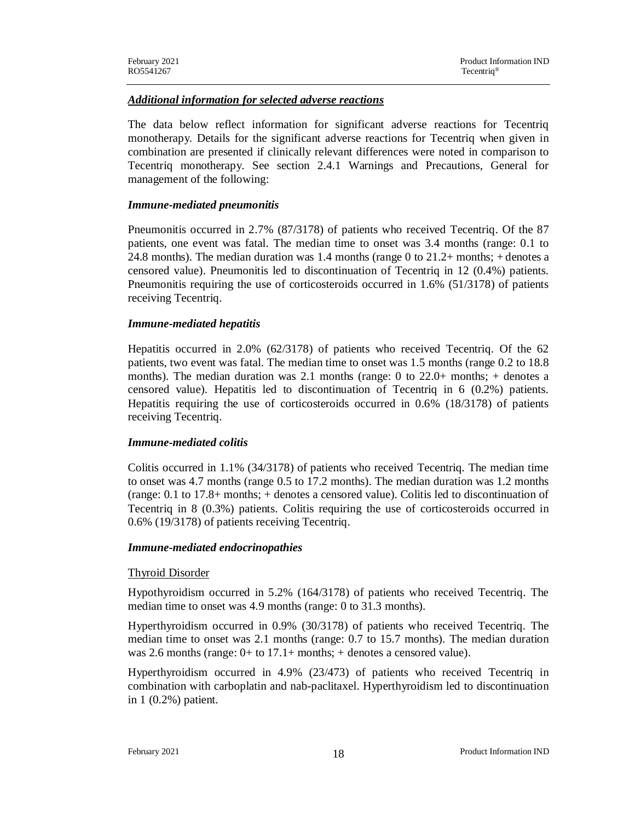### *Additional information for selected adverse reactions*

The data below reflect information for significant adverse reactions for Tecentriq monotherapy. Details for the significant adverse reactions for Tecentriq when given in combination are presented if clinically relevant differences were noted in comparison to Tecentriq monotherapy. See section 2.4.1 Warnings and Precautions, General for management of the following:

#### *Immune-mediated pneumonitis*

Pneumonitis occurred in 2.7% (87/3178) of patients who received Tecentriq. Of the 87 patients, one event was fatal. The median time to onset was 3.4 months (range: 0.1 to 24.8 months). The median duration was 1.4 months (range 0 to 21.2+ months; + denotes a censored value). Pneumonitis led to discontinuation of Tecentriq in 12 (0.4%) patients. Pneumonitis requiring the use of corticosteroids occurred in 1.6% (51/3178) of patients receiving Tecentriq.

#### *Immune-mediated hepatitis*

Hepatitis occurred in 2.0% (62/3178) of patients who received Tecentriq. Of the 62 patients, two event was fatal. The median time to onset was 1.5 months (range 0.2 to 18.8 months). The median duration was 2.1 months (range: 0 to 22.0+ months; + denotes a censored value). Hepatitis led to discontinuation of Tecentriq in 6 (0.2%) patients. Hepatitis requiring the use of corticosteroids occurred in 0.6% (18/3178) of patients receiving Tecentriq.

### *Immune-mediated colitis*

Colitis occurred in 1.1% (34/3178) of patients who received Tecentriq. The median time to onset was 4.7 months (range 0.5 to 17.2 months). The median duration was 1.2 months (range: 0.1 to 17.8+ months; + denotes a censored value). Colitis led to discontinuation of Tecentriq in 8 (0.3%) patients. Colitis requiring the use of corticosteroids occurred in 0.6% (19/3178) of patients receiving Tecentriq.

#### *Immune-mediated endocrinopathies*

### Thyroid Disorder

Hypothyroidism occurred in 5.2% (164/3178) of patients who received Tecentriq. The median time to onset was 4.9 months (range: 0 to 31.3 months).

Hyperthyroidism occurred in 0.9% (30/3178) of patients who received Tecentriq. The median time to onset was 2.1 months (range: 0.7 to 15.7 months). The median duration was 2.6 months (range: 0+ to 17.1+ months; + denotes a censored value).

Hyperthyroidism occurred in 4.9% (23/473) of patients who received Tecentriq in combination with carboplatin and nab-paclitaxel. Hyperthyroidism led to discontinuation in 1 (0.2%) patient.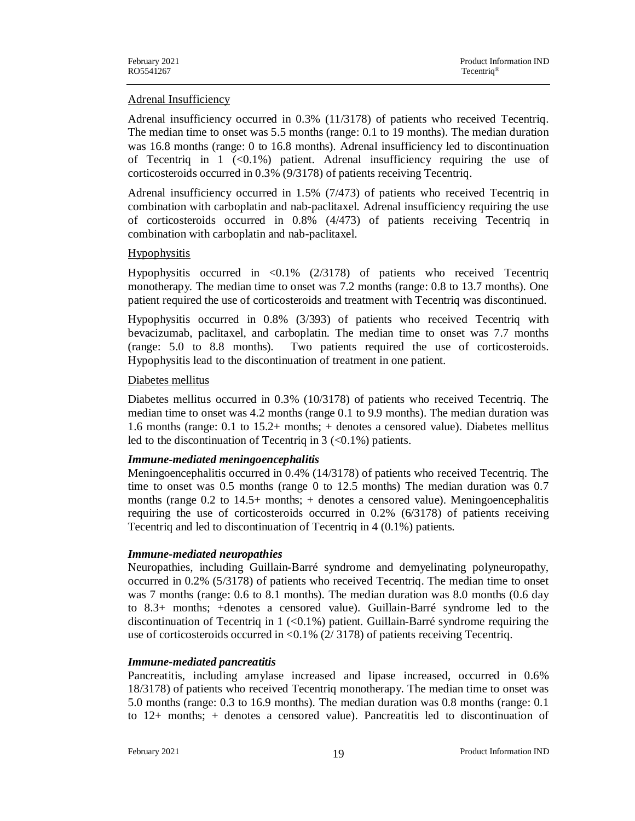### Adrenal Insufficiency

Adrenal insufficiency occurred in 0.3% (11/3178) of patients who received Tecentriq. The median time to onset was 5.5 months (range: 0.1 to 19 months). The median duration was 16.8 months (range: 0 to 16.8 months). Adrenal insufficiency led to discontinuation of Tecentriq in  $1$  (<0.1%) patient. Adrenal insufficiency requiring the use of corticosteroids occurred in 0.3% (9/3178) of patients receiving Tecentriq.

Adrenal insufficiency occurred in 1.5% (7/473) of patients who received Tecentriq in combination with carboplatin and nab-paclitaxel. Adrenal insufficiency requiring the use of corticosteroids occurred in 0.8% (4/473) of patients receiving Tecentriq in combination with carboplatin and nab-paclitaxel.

### Hypophysitis

Hypophysitis occurred in <0.1% (2/3178) of patients who received Tecentriq monotherapy. The median time to onset was 7.2 months (range: 0.8 to 13.7 months). One patient required the use of corticosteroids and treatment with Tecentriq was discontinued.

Hypophysitis occurred in 0.8% (3/393) of patients who received Tecentriq with bevacizumab, paclitaxel, and carboplatin. The median time to onset was 7.7 months (range: 5.0 to 8.8 months). Two patients required the use of corticosteroids. Hypophysitis lead to the discontinuation of treatment in one patient.

### Diabetes mellitus

Diabetes mellitus occurred in 0.3% (10/3178) of patients who received Tecentriq. The median time to onset was 4.2 months (range 0.1 to 9.9 months). The median duration was 1.6 months (range: 0.1 to 15.2+ months; + denotes a censored value). Diabetes mellitus led to the discontinuation of Tecentriq in  $3 \leq 0.1\%$ ) patients.

### *Immune-mediated meningoencephalitis*

Meningoencephalitis occurred in 0.4% (14/3178) of patients who received Tecentriq. The time to onset was 0.5 months (range 0 to 12.5 months) The median duration was 0.7 months (range 0.2 to 14.5+ months; + denotes a censored value). Meningoencephalitis requiring the use of corticosteroids occurred in 0.2% (6/3178) of patients receiving Tecentriq and led to discontinuation of Tecentriq in 4 (0.1%) patients.

### *Immune-mediated neuropathies*

Neuropathies, including Guillain-Barré syndrome and demyelinating polyneuropathy, occurred in 0.2% (5/3178) of patients who received Tecentriq. The median time to onset was 7 months (range: 0.6 to 8.1 months). The median duration was 8.0 months (0.6 day to 8.3+ months; +denotes a censored value). Guillain-Barré syndrome led to the discontinuation of Tecentriq in  $1$  (<0.1%) patient. Guillain-Barré syndrome requiring the use of corticosteroids occurred in  $\langle 0.1\% (2/3178)$  of patients receiving Tecentriq.

### *Immune-mediated pancreatitis*

Pancreatitis, including amylase increased and lipase increased, occurred in 0.6% 18/3178) of patients who received Tecentriq monotherapy. The median time to onset was 5.0 months (range: 0.3 to 16.9 months). The median duration was 0.8 months (range: 0.1 to 12+ months; + denotes a censored value). Pancreatitis led to discontinuation of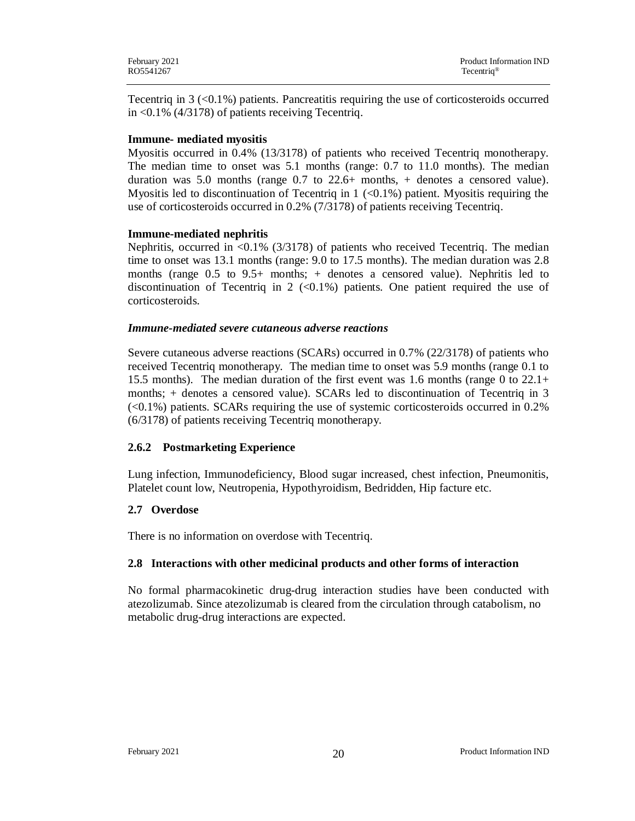Tecentriq in  $3 \leq 0.1\%$ ) patients. Pancreatitis requiring the use of corticosteroids occurred in <0.1% (4/3178) of patients receiving Tecentriq.

### **Immune- mediated myositis**

Myositis occurred in 0.4% (13/3178) of patients who received Tecentriq monotherapy. The median time to onset was 5.1 months (range: 0.7 to 11.0 months). The median duration was 5.0 months (range 0.7 to 22.6+ months, + denotes a censored value). Myositis led to discontinuation of Tecentriq in  $1$  (<0.1%) patient. Myositis requiring the use of corticosteroids occurred in 0.2% (7/3178) of patients receiving Tecentriq.

### **Immune-mediated nephritis**

Nephritis, occurred in  $\langle 0.1\% (3/3178)$  of patients who received Tecentriq. The median time to onset was 13.1 months (range: 9.0 to 17.5 months). The median duration was 2.8 months (range 0.5 to 9.5+ months; + denotes a censored value). Nephritis led to discontinuation of Tecentriq in 2  $\langle 0.1\% \rangle$  patients. One patient required the use of corticosteroids.

### *Immune-mediated severe cutaneous adverse reactions*

Severe cutaneous adverse reactions (SCARs) occurred in 0.7% (22/3178) of patients who received Tecentriq monotherapy. The median time to onset was 5.9 months (range 0.1 to 15.5 months). The median duration of the first event was 1.6 months (range 0 to 22.1+ months; + denotes a censored value). SCARs led to discontinuation of Tecentriq in 3  $\langle$  <0.1%) patients. SCARs requiring the use of systemic corticosteroids occurred in 0.2% (6/3178) of patients receiving Tecentriq monotherapy.

## **2.6.2 Postmarketing Experience**

Lung infection, Immunodeficiency, Blood sugar increased, chest infection, Pneumonitis, Platelet count low, Neutropenia, Hypothyroidism, Bedridden, Hip facture etc.

## **2.7 Overdose**

There is no information on overdose with Tecentriq.

## **2.8 Interactions with other medicinal products and other forms of interaction**

No formal pharmacokinetic drug-drug interaction studies have been conducted with atezolizumab. Since atezolizumab is cleared from the circulation through catabolism, no metabolic drug-drug interactions are expected.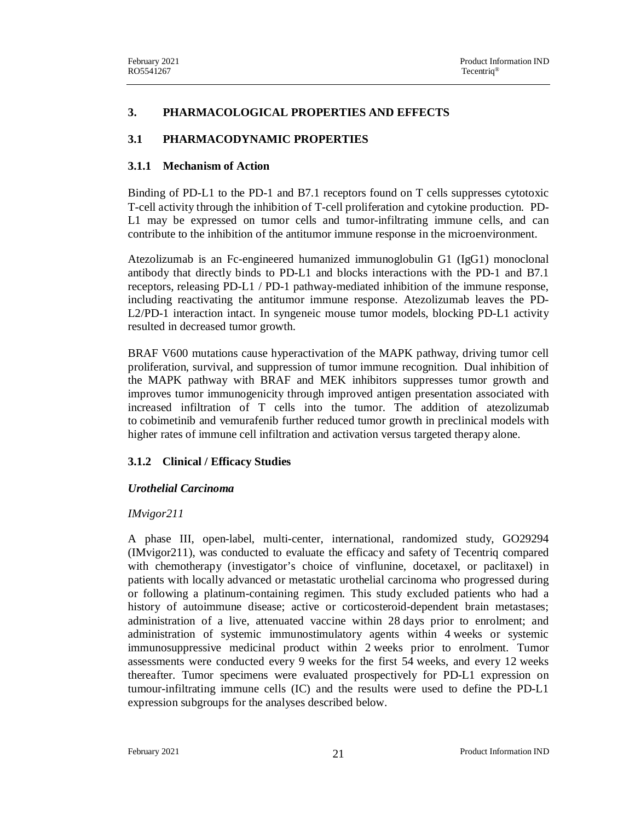### **3. PHARMACOLOGICAL PROPERTIES AND EFFECTS**

### **3.1 PHARMACODYNAMIC PROPERTIES**

#### **3.1.1 Mechanism of Action**

Binding of PD-L1 to the PD-1 and B7.1 receptors found on T cells suppresses cytotoxic T-cell activity through the inhibition of T-cell proliferation and cytokine production. PD-L1 may be expressed on tumor cells and tumor-infiltrating immune cells, and can contribute to the inhibition of the antitumor immune response in the microenvironment.

Atezolizumab is an Fc-engineered humanized immunoglobulin G1 (IgG1) monoclonal antibody that directly binds to PD-L1 and blocks interactions with the PD-1 and B7.1 receptors, releasing PD-L1 / PD-1 pathway-mediated inhibition of the immune response, including reactivating the antitumor immune response. Atezolizumab leaves the PD-L2/PD-1 interaction intact. In syngeneic mouse tumor models, blocking PD-L1 activity resulted in decreased tumor growth.

BRAF V600 mutations cause hyperactivation of the MAPK pathway, driving tumor cell proliferation, survival, and suppression of tumor immune recognition. Dual inhibition of the MAPK pathway with BRAF and MEK inhibitors suppresses tumor growth and improves tumor immunogenicity through improved antigen presentation associated with increased infiltration of T cells into the tumor. The addition of atezolizumab to cobimetinib and vemurafenib further reduced tumor growth in preclinical models with higher rates of immune cell infiltration and activation versus targeted therapy alone.

### **3.1.2 Clinical / Efficacy Studies**

### *Urothelial Carcinoma*

### *IMvigor211*

A phase III, open-label, multi-center, international, randomized study, GO29294 (IMvigor211), was conducted to evaluate the efficacy and safety of Tecentriq compared with chemotherapy (investigator's choice of vinflunine, docetaxel, or paclitaxel) in patients with locally advanced or metastatic urothelial carcinoma who progressed during or following a platinum-containing regimen. This study excluded patients who had a history of autoimmune disease; active or corticosteroid-dependent brain metastases; administration of a live, attenuated vaccine within 28 days prior to enrolment; and administration of systemic immunostimulatory agents within 4 weeks or systemic immunosuppressive medicinal product within 2 weeks prior to enrolment. Tumor assessments were conducted every 9 weeks for the first 54 weeks, and every 12 weeks thereafter. Tumor specimens were evaluated prospectively for PD-L1 expression on tumour-infiltrating immune cells (IC) and the results were used to define the PD-L1 expression subgroups for the analyses described below.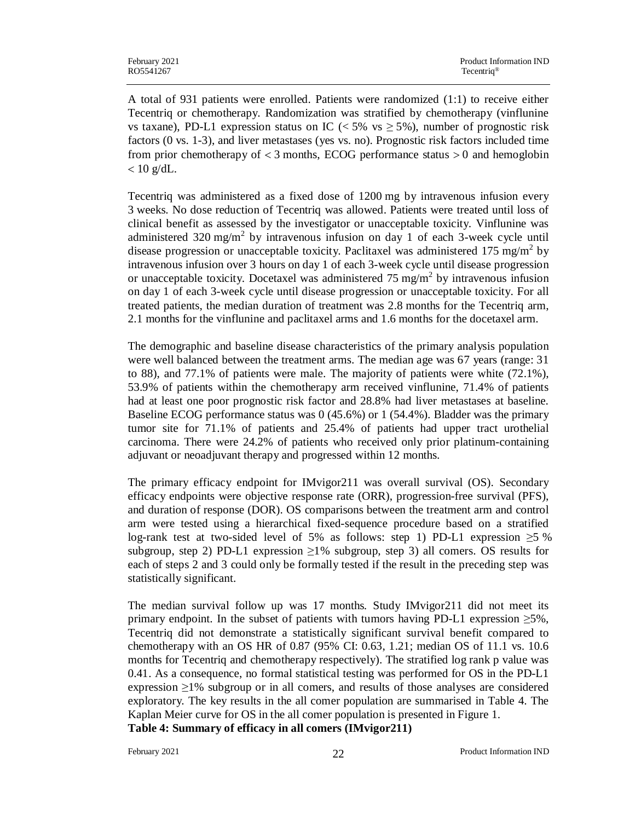A total of 931 patients were enrolled. Patients were randomized (1:1) to receive either Tecentriq or chemotherapy. Randomization was stratified by chemotherapy (vinflunine vs taxane), PD-L1 expression status on IC ( $\lt 5\%$  vs  $\ge 5\%$ ), number of prognostic risk factors (0 vs. 1-3), and liver metastases (yes vs. no). Prognostic risk factors included time from prior chemotherapy of  $<$  3 months, ECOG performance status  $>$  0 and hemoglobin  $< 10$  g/dL.

Tecentriq was administered as a fixed dose of 1200 mg by intravenous infusion every 3 weeks. No dose reduction of Tecentriq was allowed. Patients were treated until loss of clinical benefit as assessed by the investigator or unacceptable toxicity. Vinflunine was administered 320 mg/m<sup>2</sup> by intravenous infusion on day 1 of each 3-week cycle until disease progression or unacceptable toxicity. Paclitaxel was administered 175 mg/m<sup>2</sup> by intravenous infusion over 3 hours on day 1 of each 3-week cycle until disease progression or unacceptable toxicity. Docetaxel was administered 75 mg/m<sup>2</sup> by intravenous infusion on day 1 of each 3-week cycle until disease progression or unacceptable toxicity. For all treated patients, the median duration of treatment was 2.8 months for the Tecentriq arm, 2.1 months for the vinflunine and paclitaxel arms and 1.6 months for the docetaxel arm.

The demographic and baseline disease characteristics of the primary analysis population were well balanced between the treatment arms. The median age was 67 years (range: 31 to 88), and 77.1% of patients were male. The majority of patients were white (72.1%), 53.9% of patients within the chemotherapy arm received vinflunine, 71.4% of patients had at least one poor prognostic risk factor and 28.8% had liver metastases at baseline. Baseline ECOG performance status was 0 (45.6%) or 1 (54.4%). Bladder was the primary tumor site for 71.1% of patients and 25.4% of patients had upper tract urothelial carcinoma. There were 24.2% of patients who received only prior platinum-containing adjuvant or neoadjuvant therapy and progressed within 12 months.

The primary efficacy endpoint for IMvigor211 was overall survival (OS). Secondary efficacy endpoints were objective response rate (ORR), progression-free survival (PFS), and duration of response (DOR). OS comparisons between the treatment arm and control arm were tested using a hierarchical fixed-sequence procedure based on a stratified log-rank test at two-sided level of 5% as follows: step 1) PD-L1 expression  $\geq 5$  % subgroup, step 2) PD-L1 expression  $\geq 1\%$  subgroup, step 3) all comers. OS results for each of steps 2 and 3 could only be formally tested if the result in the preceding step was statistically significant.

The median survival follow up was 17 months. Study IMvigor211 did not meet its primary endpoint. In the subset of patients with tumors having PD-L1 expression  $\geq 5\%$ , Tecentriq did not demonstrate a statistically significant survival benefit compared to chemotherapy with an OS HR of 0.87 (95% CI: 0.63, 1.21; median OS of 11.1 vs. 10.6 months for Tecentriq and chemotherapy respectively). The stratified log rank p value was 0.41. As a consequence, no formal statistical testing was performed for OS in the PD-L1 expression ≥1% subgroup or in all comers, and results of those analyses are considered exploratory. The key results in the all comer population are summarised in Table 4. The Kaplan Meier curve for OS in the all comer population is presented in Figure 1. **Table 4: Summary of efficacy in all comers (IMvigor211)**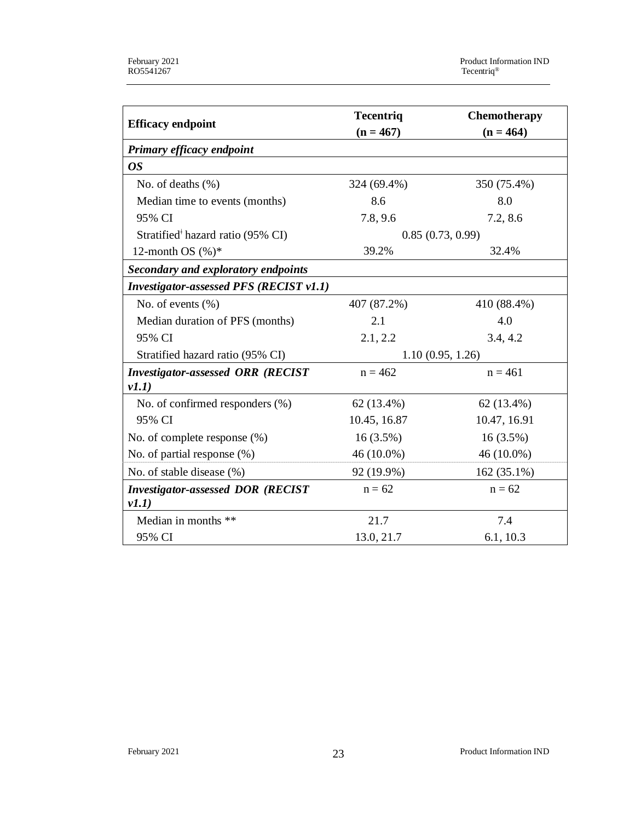|                                                | <b>Tecentriq</b> | Chemotherapy     |
|------------------------------------------------|------------------|------------------|
| <b>Efficacy endpoint</b>                       | $(n = 467)$      | $(n = 464)$      |
| Primary efficacy endpoint                      |                  |                  |
| <b>OS</b>                                      |                  |                  |
| No. of deaths $(\% )$                          | 324 (69.4%)      | 350 (75.4%)      |
| Median time to events (months)                 | 8.6              | 8.0              |
| 95% CI                                         | 7.8, 9.6         | 7.2, 8.6         |
| Stratified <sup>#</sup> hazard ratio (95% CI)  |                  | 0.85(0.73, 0.99) |
| 12-month OS $(\%)^*$                           | 39.2%            | 32.4%            |
| <b>Secondary and exploratory endpoints</b>     |                  |                  |
| <b>Investigator-assessed PFS (RECIST v1.1)</b> |                  |                  |
| No. of events $(\% )$                          | 407 (87.2%)      | 410 (88.4%)      |
| Median duration of PFS (months)                | 2.1              | 4.0              |
| 95% CI                                         | 2.1, 2.2         | 3.4, 4.2         |
| Stratified hazard ratio (95% CI)               |                  | 1.10(0.95, 1.26) |
| <b>Investigator-assessed ORR (RECIST</b>       | $n = 462$        | $n = 461$        |
| v1.1)                                          |                  |                  |
| No. of confirmed responders (%)                | 62 (13.4%)       | 62 (13.4%)       |
| 95% CI                                         | 10.45, 16.87     | 10.47, 16.91     |
| No. of complete response (%)                   | $16(3.5\%)$      | $16(3.5\%)$      |
| No. of partial response (%)                    | 46 (10.0%)       | 46 (10.0%)       |
| No. of stable disease (%)                      | 92 (19.9%)       | 162 (35.1%)      |
| <b>Investigator-assessed DOR (RECIST</b>       | $n = 62$         | $n = 62$         |
| v1.1)                                          |                  |                  |
| Median in months **                            | 21.7             | 7.4              |
| 95% CI                                         | 13.0, 21.7       | 6.1, 10.3        |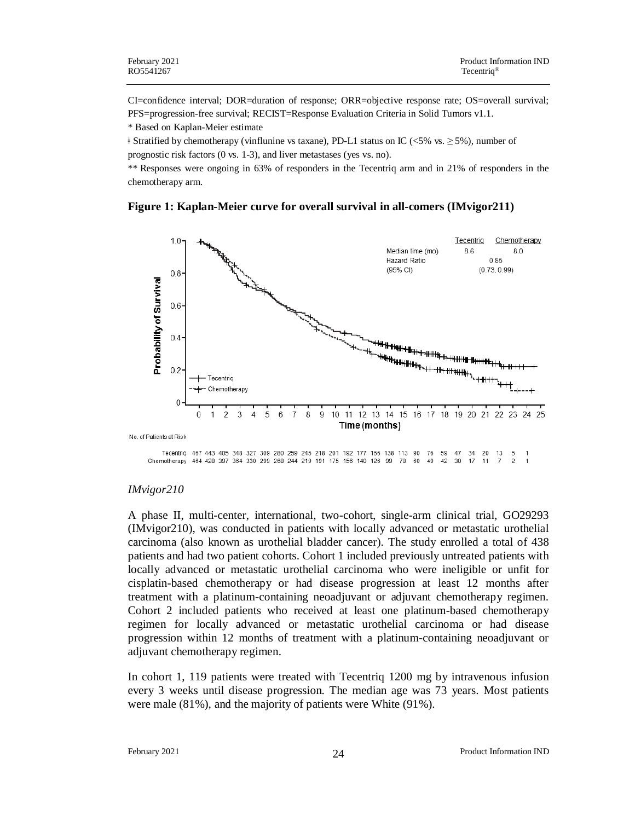CI=confidence interval; DOR=duration of response; ORR=objective response rate; OS=overall survival; PFS=progression-free survival; RECIST=Response Evaluation Criteria in Solid Tumors v1.1.

\* Based on Kaplan-Meier estimate

ǂ Stratified by chemotherapy (vinflunine vs taxane), PD-L1 status on IC (<5% vs. ≥ 5%), number of prognostic risk factors (0 vs. 1-3), and liver metastases (yes vs. no).

\*\* Responses were ongoing in 63% of responders in the Tecentriq arm and in 21% of responders in the chemotherapy arm.

#### **Figure 1: Kaplan-Meier curve for overall survival in all-comers (IMvigor211)**



#### *IMvigor210*

A phase II, multi-center, international, two-cohort, single-arm clinical trial, GO29293 (IMvigor210), was conducted in patients with locally advanced or metastatic urothelial carcinoma (also known as urothelial bladder cancer). The study enrolled a total of 438 patients and had two patient cohorts. Cohort 1 included previously untreated patients with locally advanced or metastatic urothelial carcinoma who were ineligible or unfit for cisplatin-based chemotherapy or had disease progression at least 12 months after treatment with a platinum-containing neoadjuvant or adjuvant chemotherapy regimen. Cohort 2 included patients who received at least one platinum-based chemotherapy regimen for locally advanced or metastatic urothelial carcinoma or had disease progression within 12 months of treatment with a platinum-containing neoadjuvant or adjuvant chemotherapy regimen.

In cohort 1, 119 patients were treated with Tecentriq 1200 mg by intravenous infusion every 3 weeks until disease progression. The median age was 73 years. Most patients were male (81%), and the majority of patients were White (91%).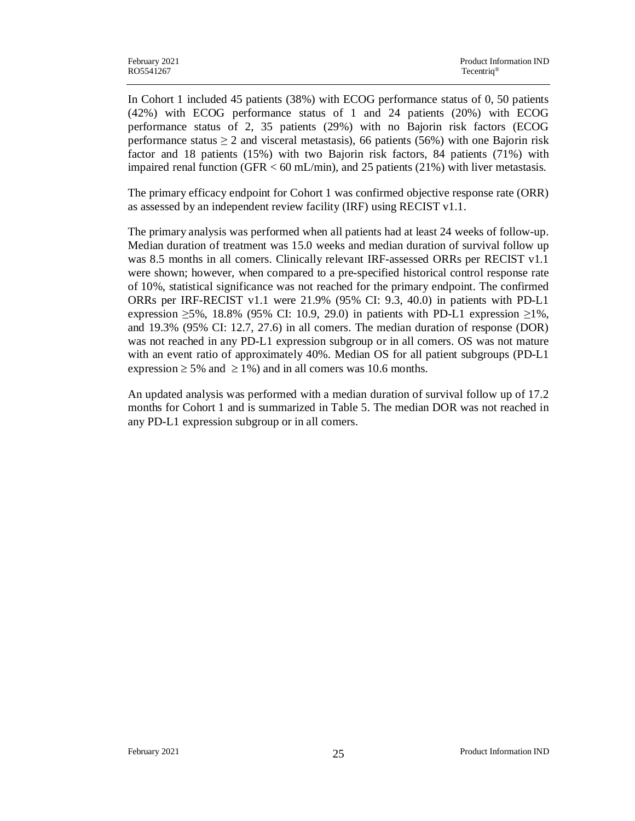In Cohort 1 included 45 patients (38%) with ECOG performance status of 0, 50 patients (42%) with ECOG performance status of 1 and 24 patients (20%) with ECOG performance status of 2, 35 patients (29%) with no Bajorin risk factors (ECOG performance status  $\geq 2$  and visceral metastasis), 66 patients (56%) with one Bajorin risk factor and 18 patients (15%) with two Bajorin risk factors, 84 patients (71%) with impaired renal function (GFR  $<$  60 mL/min), and 25 patients (21%) with liver metastasis.

The primary efficacy endpoint for Cohort 1 was confirmed objective response rate (ORR) as assessed by an independent review facility (IRF) using RECIST v1.1.

The primary analysis was performed when all patients had at least 24 weeks of follow-up. Median duration of treatment was 15.0 weeks and median duration of survival follow up was 8.5 months in all comers. Clinically relevant IRF-assessed ORRs per RECIST v1.1 were shown; however, when compared to a pre-specified historical control response rate of 10%, statistical significance was not reached for the primary endpoint. The confirmed ORRs per IRF-RECIST v1.1 were 21.9% (95% CI: 9.3, 40.0) in patients with PD-L1 expression  $\geq 5\%$ , 18.8% (95% CI: 10.9, 29.0) in patients with PD-L1 expression  $\geq 1\%$ , and 19.3% (95% CI: 12.7, 27.6) in all comers. The median duration of response (DOR) was not reached in any PD-L1 expression subgroup or in all comers. OS was not mature with an event ratio of approximately 40%. Median OS for all patient subgroups (PD-L1 expression  $\geq 5\%$  and  $\geq 1\%$ ) and in all comers was 10.6 months.

An updated analysis was performed with a median duration of survival follow up of 17.2 months for Cohort 1 and is summarized in Table 5. The median DOR was not reached in any PD-L1 expression subgroup or in all comers.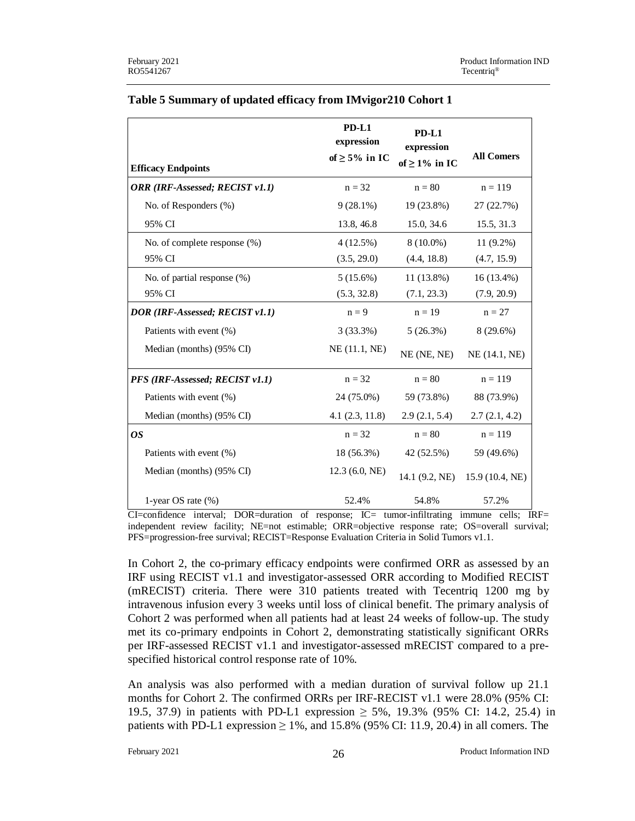| <b>Efficacy Endpoints</b>       | $PD-L1$<br>expression<br>of $\geq$ 5% in IC | PD-L1<br>expression<br>of $\geq$ 1% in IC | <b>All Comers</b> |
|---------------------------------|---------------------------------------------|-------------------------------------------|-------------------|
| ORR (IRF-Assessed; RECIST v1.1) | $n = 32$                                    | $n = 80$                                  | $n = 119$         |
| No. of Responders (%)           | $9(28.1\%)$                                 | 19 (23.8%)                                | 27 (22.7%)        |
| 95% CI                          | 13.8, 46.8                                  | 15.0, 34.6                                | 15.5, 31.3        |
| No. of complete response (%)    | 4(12.5%)                                    | $8(10.0\%)$                               | $11(9.2\%)$       |
| 95% CI                          | (3.5, 29.0)                                 | (4.4, 18.8)                               | (4.7, 15.9)       |
| No. of partial response (%)     | 5(15.6%)                                    | 11 (13.8%)                                | $16(13.4\%)$      |
| 95% CI                          | (5.3, 32.8)                                 | (7.1, 23.3)                               | (7.9, 20.9)       |
| DOR (IRF-Assessed; RECIST v1.1) | $n = 9$                                     | $n = 19$                                  | $n = 27$          |
| Patients with event (%)         | 3(33.3%)                                    | 5(26.3%)                                  | 8 (29.6%)         |
| Median (months) (95% CI)        | NE $(11.1, NE)$                             | NE (NE, NE)                               | NE (14.1, NE)     |
| PFS (IRF-Assessed; RECIST v1.1) | $n = 32$                                    | $n = 80$                                  | $n = 119$         |
| Patients with event (%)         | 24 (75.0%)                                  | 59 (73.8%)                                | 88 (73.9%)        |
| Median (months) (95% CI)        | 4.1(2.3, 11.8)                              | 2.9(2.1, 5.4)                             | 2.7(2.1, 4.2)     |
| <b>OS</b>                       | $n = 32$                                    | $n = 80$                                  | $n = 119$         |
| Patients with event (%)         | 18(56.3%)                                   | 42 (52.5%)                                | 59 (49.6%)        |
| Median (months) (95% CI)        | 12.3(6.0, NE)                               | 14.1 (9.2, NE)                            | 15.9 (10.4, NE)   |
| 1-year OS rate $(\%)$           | 52.4%                                       | 54.8%                                     | 57.2%             |

### **Table 5 Summary of updated efficacy from IMvigor210 Cohort 1**

CI=confidence interval; DOR=duration of response; IC= tumor-infiltrating immune cells; IRF= independent review facility; NE=not estimable; ORR=objective response rate; OS=overall survival; PFS=progression-free survival; RECIST=Response Evaluation Criteria in Solid Tumors v1.1.

In Cohort 2, the co-primary efficacy endpoints were confirmed ORR as assessed by an IRF using RECIST v1.1 and investigator-assessed ORR according to Modified RECIST (mRECIST) criteria. There were 310 patients treated with Tecentriq 1200 mg by intravenous infusion every 3 weeks until loss of clinical benefit. The primary analysis of Cohort 2 was performed when all patients had at least 24 weeks of follow-up. The study met its co-primary endpoints in Cohort 2, demonstrating statistically significant ORRs per IRF-assessed RECIST v1.1 and investigator-assessed mRECIST compared to a prespecified historical control response rate of 10%.

An analysis was also performed with a median duration of survival follow up 21.1 months for Cohort 2. The confirmed ORRs per IRF-RECIST v1.1 were 28.0% (95% CI: 19.5, 37.9) in patients with PD-L1 expression  $\geq$  5%, 19.3% (95% CI: 14.2, 25.4) in patients with PD-L1 expression  $\geq 1\%$ , and 15.8% (95% CI: 11.9, 20.4) in all comers. The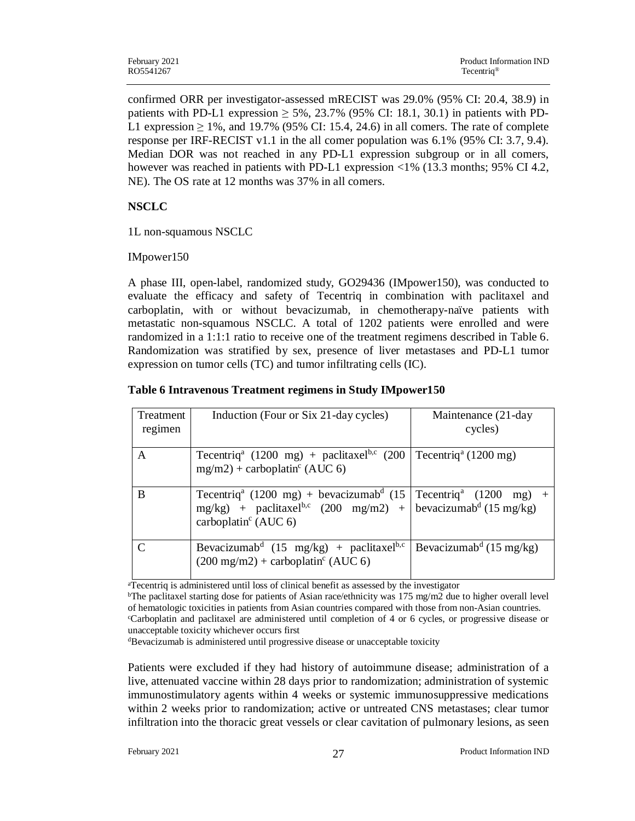confirmed ORR per investigator-assessed mRECIST was 29.0% (95% CI: 20.4, 38.9) in patients with PD-L1 expression  $\geq$  5%, 23.7% (95% CI: 18.1, 30.1) in patients with PD-L1 expression  $\geq 1\%$ , and 19.7% (95% CI: 15.4, 24.6) in all comers. The rate of complete response per IRF-RECIST v1.1 in the all comer population was 6.1% (95% CI: 3.7, 9.4). Median DOR was not reached in any PD-L1 expression subgroup or in all comers, however was reached in patients with PD-L1 expression <1% (13.3 months; 95% CI 4.2, NE). The OS rate at 12 months was 37% in all comers.

## **NSCLC**

1L non-squamous NSCLC

### IMpower150

A phase III, open-label, randomized study, GO29436 (IMpower150), was conducted to evaluate the efficacy and safety of Tecentriq in combination with paclitaxel and carboplatin, with or without bevacizumab, in chemotherapy-naïve patients with metastatic non-squamous NSCLC. A total of 1202 patients were enrolled and were randomized in a 1:1:1 ratio to receive one of the treatment regimens described in Table 6. Randomization was stratified by sex, presence of liver metastases and PD-L1 tumor expression on tumor cells (TC) and tumor infiltrating cells (IC).

| Treatment | Induction (Four or Six 21-day cycles)                                                                                                                                                                                                  | Maintenance (21-day                 |
|-----------|----------------------------------------------------------------------------------------------------------------------------------------------------------------------------------------------------------------------------------------|-------------------------------------|
| regimen   |                                                                                                                                                                                                                                        | cycles)                             |
|           |                                                                                                                                                                                                                                        |                                     |
| A         | Tecentriq <sup>a</sup> (1200 mg) + paclitaxel <sup>b,c</sup> (200<br>$mg/m2$ ) + carboplatin <sup>c</sup> (AUC 6)                                                                                                                      | Tecentriq <sup>a</sup> (1200 mg)    |
| B         | Tecentriq <sup>a</sup> (1200 mg) + bevacizumab <sup>d</sup> (15   Tecentriq <sup>a</sup> (1200 mg) +<br>$mg/kg$ ) + paclitaxel <sup>b,c</sup> (200 mg/m2) + bevacizumab <sup>d</sup> (15 mg/kg)<br>carboplatin <sup>c</sup> (AUC $6$ ) |                                     |
|           | Bevacizumab <sup>d</sup> (15 mg/kg) + paclitaxel <sup>b,c</sup><br>$(200 \text{ mg/m2}) + \text{carbonlatin}^{\text{c}}$ (AUC 6)                                                                                                       | Bevacizumab <sup>d</sup> (15 mg/kg) |

<sup>a</sup>Tecentriq is administered until loss of clinical benefit as assessed by the investigator

<sup>b</sup>The paclitaxel starting dose for patients of Asian race/ethnicity was 175 mg/m2 due to higher overall level of hematologic toxicities in patients from Asian countries compared with those from non-Asian countries. <sup>c</sup>Carboplatin and paclitaxel are administered until completion of 4 or 6 cycles, or progressive disease or unacceptable toxicity whichever occurs first

<sup>d</sup>Bevacizumab is administered until progressive disease or unacceptable toxicity

Patients were excluded if they had history of autoimmune disease; administration of a live, attenuated vaccine within 28 days prior to randomization; administration of systemic immunostimulatory agents within 4 weeks or systemic immunosuppressive medications within 2 weeks prior to randomization; active or untreated CNS metastases; clear tumor infiltration into the thoracic great vessels or clear cavitation of pulmonary lesions, as seen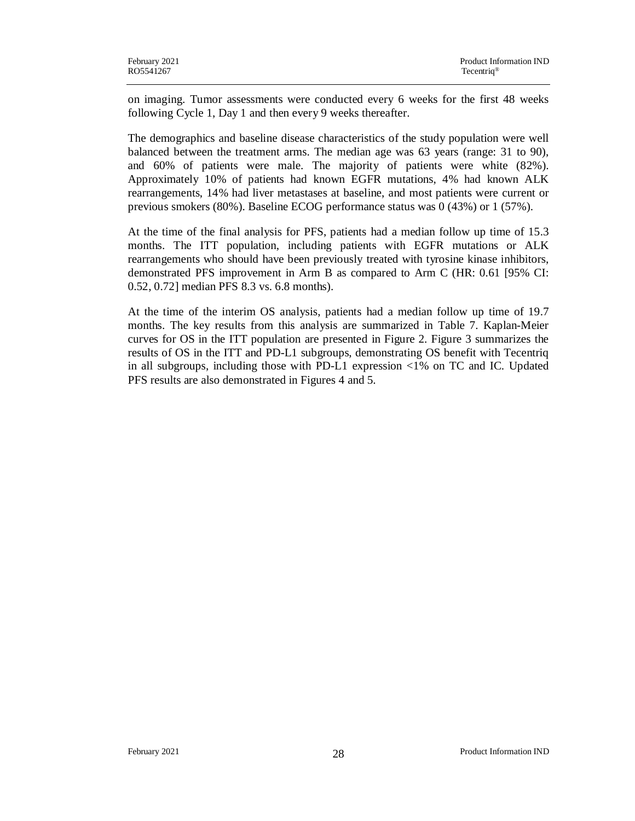on imaging. Tumor assessments were conducted every 6 weeks for the first 48 weeks following Cycle 1, Day 1 and then every 9 weeks thereafter.

The demographics and baseline disease characteristics of the study population were well balanced between the treatment arms. The median age was 63 years (range: 31 to 90), and 60% of patients were male. The majority of patients were white (82%). Approximately 10% of patients had known EGFR mutations, 4% had known ALK rearrangements, 14% had liver metastases at baseline, and most patients were current or previous smokers (80%). Baseline ECOG performance status was 0 (43%) or 1 (57%).

At the time of the final analysis for PFS, patients had a median follow up time of 15.3 months. The ITT population, including patients with EGFR mutations or ALK rearrangements who should have been previously treated with tyrosine kinase inhibitors, demonstrated PFS improvement in Arm B as compared to Arm C (HR: 0.61 [95% CI: 0.52, 0.72] median PFS 8.3 vs. 6.8 months).

At the time of the interim OS analysis, patients had a median follow up time of 19.7 months. The key results from this analysis are summarized in Table 7. Kaplan-Meier curves for OS in the ITT population are presented in Figure 2. Figure 3 summarizes the results of OS in the ITT and PD-L1 subgroups, demonstrating OS benefit with Tecentriq in all subgroups, including those with PD-L1 expression <1% on TC and IC. Updated PFS results are also demonstrated in Figures 4 and 5.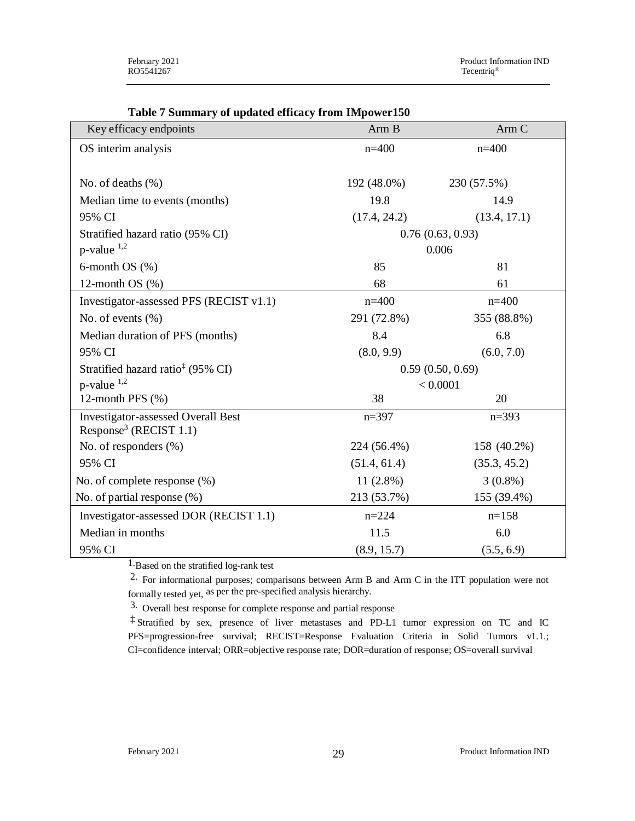| Key efficacy endpoints                                                          | Arm B            | Arm C            |  |  |
|---------------------------------------------------------------------------------|------------------|------------------|--|--|
| OS interim analysis                                                             | $n=400$          | $n=400$          |  |  |
|                                                                                 |                  |                  |  |  |
| No. of deaths $(\% )$                                                           | 192 (48.0%)      | 230 (57.5%)      |  |  |
| Median time to events (months)                                                  | 19.8             | 14.9             |  |  |
| 95% CI                                                                          | (17.4, 24.2)     | (13.4, 17.1)     |  |  |
| Stratified hazard ratio (95% CI)                                                | 0.76(0.63, 0.93) |                  |  |  |
| $p$ -value $^{1,2}$                                                             |                  | 0.006            |  |  |
| 6-month $OS(%)$                                                                 | 85               | 81               |  |  |
| 12-month OS $(\%)$                                                              | 68               | 61               |  |  |
| Investigator-assessed PFS (RECIST v1.1)                                         | $n=400$          | $n=400$          |  |  |
| No. of events $(\% )$                                                           | 291 (72.8%)      | 355 (88.8%)      |  |  |
| Median duration of PFS (months)                                                 | 8.4              | 6.8              |  |  |
| 95% CI                                                                          | (8.0, 9.9)       | (6.0, 7.0)       |  |  |
| Stratified hazard ratio <sup>‡</sup> (95% CI)                                   |                  | 0.59(0.50, 0.69) |  |  |
| p-value 1,2                                                                     |                  | < 0.0001         |  |  |
| 12-month PFS (%)                                                                | 38               | 20               |  |  |
| <b>Investigator-assessed Overall Best</b><br>Response <sup>3</sup> (RECIST 1.1) | $n=397$          | $n = 393$        |  |  |
| No. of responders (%)                                                           | 224 (56.4%)      | 158 (40.2%)      |  |  |
| 95% CI                                                                          | (51.4, 61.4)     | (35.3, 45.2)     |  |  |
| No. of complete response (%)                                                    | $11(2.8\%)$      | $3(0.8\%)$       |  |  |
| No. of partial response (%)                                                     | 213 (53.7%)      | 155 (39.4%)      |  |  |
| Investigator-assessed DOR (RECIST 1.1)                                          | $n = 224$        | $n=158$          |  |  |
| Median in months                                                                | 11.5             | 6.0              |  |  |
| 95% CI                                                                          | (8.9, 15.7)      | (5.5, 6.9)       |  |  |

### **Table 7 Summary of updated efficacy from IMpower150**

1.Based on the stratified log-rank test

2. For informational purposes; comparisons between Arm B and Arm C in the ITT population were not formally tested yet, as per the pre-specified analysis hierarchy.

3. Overall best response for complete response and partial response

‡ Stratified by sex, presence of liver metastases and PD-L1 tumor expression on TC and IC PFS=progression-free survival; RECIST=Response Evaluation Criteria in Solid Tumors v1.1.; CI=confidence interval; ORR=objective response rate; DOR=duration of response; OS=overall survival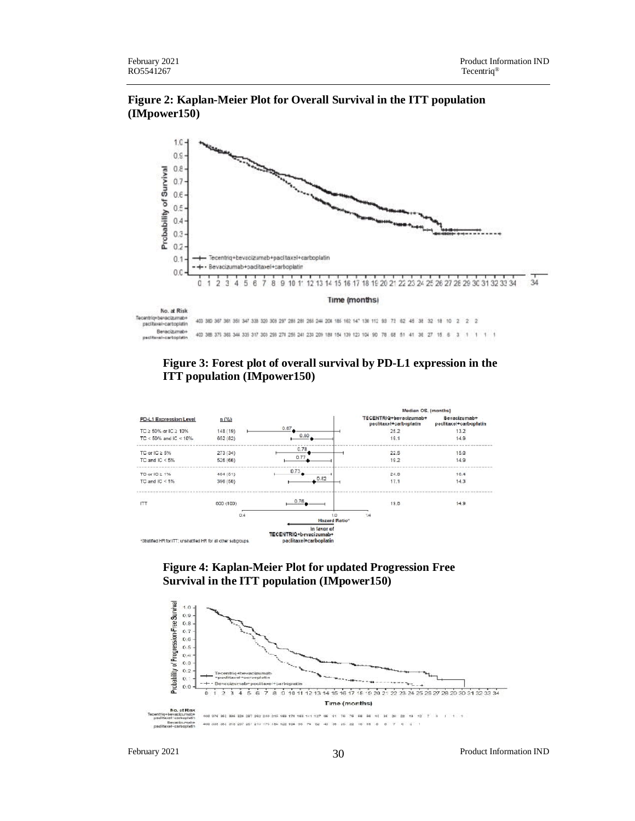## **Figure 2: Kaplan-Meier Plot for Overall Survival in the ITT population (IMpower150)**



#### **Figure 3: Forest plot of overall survival by PD-L1 expression in the ITT population (IMpower150)**



#### **Figure 4: Kaplan-Meier Plot for updated Progression Free Survival in the ITT population (IMpower150)**



February 2021 **Product Information IND** 30 **Product Information IND**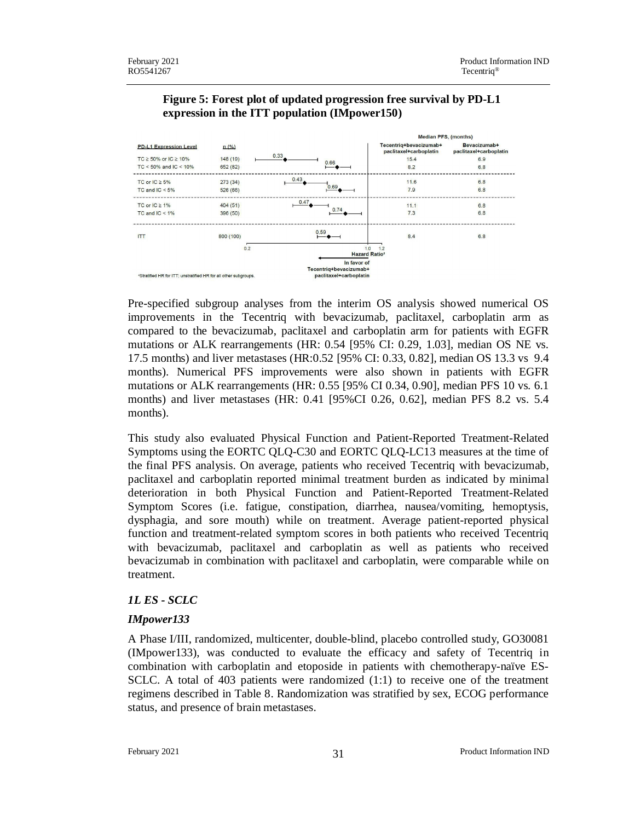

### **Figure 5: Forest plot of updated progression free survival by PD-L1 expression in the ITT population (IMpower150)**

Pre-specified subgroup analyses from the interim OS analysis showed numerical OS improvements in the Tecentriq with bevacizumab, paclitaxel, carboplatin arm as compared to the bevacizumab, paclitaxel and carboplatin arm for patients with EGFR mutations or ALK rearrangements (HR: 0.54 [95% CI: 0.29, 1.03], median OS NE vs. 17.5 months) and liver metastases (HR:0.52 [95% CI: 0.33, 0.82], median OS 13.3 vs 9.4 months). Numerical PFS improvements were also shown in patients with EGFR mutations or ALK rearrangements (HR: 0.55 [95% CI 0.34, 0.90], median PFS 10 vs. 6.1 months) and liver metastases (HR: 0.41 [95%CI 0.26, 0.62], median PFS 8.2 vs. 5.4 months).

This study also evaluated Physical Function and Patient-Reported Treatment-Related Symptoms using the EORTC QLQ-C30 and EORTC QLQ-LC13 measures at the time of the final PFS analysis. On average, patients who received Tecentriq with bevacizumab, paclitaxel and carboplatin reported minimal treatment burden as indicated by minimal deterioration in both Physical Function and Patient-Reported Treatment-Related Symptom Scores (i.e. fatigue, constipation, diarrhea, nausea/vomiting, hemoptysis, dysphagia, and sore mouth) while on treatment. Average patient-reported physical function and treatment-related symptom scores in both patients who received Tecentriq with bevacizumab, paclitaxel and carboplatin as well as patients who received bevacizumab in combination with paclitaxel and carboplatin, were comparable while on treatment.

### *1L ES - SCLC*

### *IMpower133*

A Phase I/III, randomized, multicenter, double-blind, placebo controlled study, GO30081 (IMpower133), was conducted to evaluate the efficacy and safety of Tecentriq in combination with carboplatin and etoposide in patients with chemotherapy-naïve ES-SCLC. A total of 403 patients were randomized (1:1) to receive one of the treatment regimens described in Table 8. Randomization was stratified by sex, ECOG performance status, and presence of brain metastases.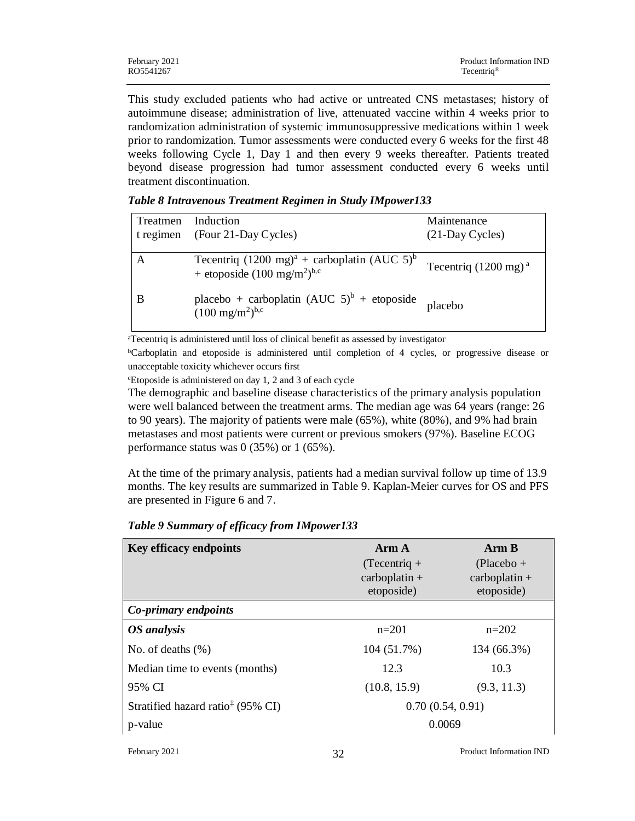| February 2021 | Product Information IND |
|---------------|-------------------------|
| RO5541267     | Tecentriq <sup>®</sup>  |

This study excluded patients who had active or untreated CNS metastases; history of autoimmune disease; administration of live, attenuated vaccine within 4 weeks prior to randomization administration of systemic immunosuppressive medications within 1 week prior to randomization. Tumor assessments were conducted every 6 weeks for the first 48 weeks following Cycle 1, Day 1 and then every 9 weeks thereafter. Patients treated beyond disease progression had tumor assessment conducted every 6 weeks until treatment discontinuation.

|  | Table 8 Intravenous Treatment Regimen in Study IMpower133 |  |  |  |  |  |  |
|--|-----------------------------------------------------------|--|--|--|--|--|--|
|  |                                                           |  |  |  |  |  |  |

| Treatmen<br>t regimen | Induction<br>(Four 21-Day Cycles)                                                                     | Maintenance<br>$(21$ -Day Cycles) |
|-----------------------|-------------------------------------------------------------------------------------------------------|-----------------------------------|
| A                     | Tecentriq $(1200 \text{ mg})^a$ + carboplatin $(AUC 5)^b$<br>+ etoposide $(100 \text{ mg/m}^2)^{b,c}$ | Tecentriq $(1200 \text{ mg})^a$   |
| B                     | placebo + carboplatin $(AUC 5)^b$ + etoposide<br>$(100 \text{ mg/m}^2)^{b,c}$                         | placebo                           |

<sup>a</sup>Tecentriq is administered until loss of clinical benefit as assessed by investigator

<sup>b</sup>Carboplatin and etoposide is administered until completion of 4 cycles, or progressive disease or unacceptable toxicity whichever occurs first

<sup>c</sup>Etoposide is administered on day 1, 2 and 3 of each cycle

The demographic and baseline disease characteristics of the primary analysis population were well balanced between the treatment arms. The median age was 64 years (range: 26 to 90 years). The majority of patients were male (65%), white (80%), and 9% had brain metastases and most patients were current or previous smokers (97%). Baseline ECOG performance status was  $0$  (35%) or 1 (65%).

At the time of the primary analysis, patients had a median survival follow up time of 13.9 months. The key results are summarized in Table 9. Kaplan-Meier curves for OS and PFS are presented in Figure 6 and 7.

| <b>Key efficacy endpoints</b>                 | Arm A<br>$(Tecentriq +$<br>$carbonlatin +$<br>etoposide) | Arm B<br>$(Placebo +$<br>$carbonlatin +$<br>etoposide) |
|-----------------------------------------------|----------------------------------------------------------|--------------------------------------------------------|
| Co-primary endpoints                          |                                                          |                                                        |
| OS analysis                                   | $n=201$                                                  | $n=202$                                                |
| No. of deaths $(\%)$                          | 104 (51.7%)                                              | 134 (66.3%)                                            |
| Median time to events (months)                | 12.3                                                     | 10.3                                                   |
| 95% CI                                        | (10.8, 15.9)                                             | (9.3, 11.3)                                            |
| Stratified hazard ratio <sup>‡</sup> (95% CI) | 0.70(0.54, 0.91)                                         |                                                        |
| p-value                                       | 0.0069                                                   |                                                        |

#### *Table 9 Summary of efficacy from IMpower133*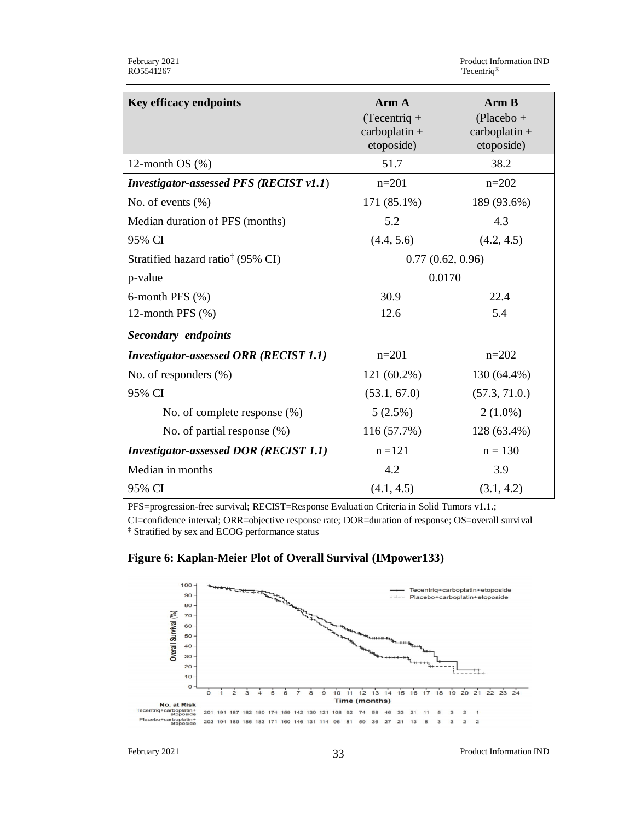| <b>Key efficacy endpoints</b>                  | Arm A                                           | Arm B                                         |
|------------------------------------------------|-------------------------------------------------|-----------------------------------------------|
|                                                | $(Tecentriq +$<br>$carbonlatin +$<br>etoposide) | $(Placebo +$<br>$carbonhatin +$<br>etoposide) |
| 12-month $OS$ $%$                              | 51.7                                            | 38.2                                          |
| <b>Investigator-assessed PFS (RECIST v1.1)</b> | $n=201$                                         | $n=202$                                       |
| No. of events $(\% )$                          | 171 (85.1%)                                     | 189 (93.6%)                                   |
| Median duration of PFS (months)                | 5.2                                             | 4.3                                           |
| 95% CI                                         | (4.4, 5.6)                                      | (4.2, 4.5)                                    |
| Stratified hazard ratio <sup>‡</sup> (95% CI)  | 0.77(0.62, 0.96)                                |                                               |
| p-value                                        | 0.0170                                          |                                               |
| 6-month PFS $(\% )$                            | 30.9                                            | 22.4                                          |
| 12-month PFS $(\%)$                            | 12.6                                            | 5.4                                           |
| <b>Secondary</b> endpoints                     |                                                 |                                               |
| <b>Investigator-assessed ORR (RECIST 1.1)</b>  | $n=201$                                         | $n=202$                                       |
| No. of responders $(\%)$                       | $121(60.2\%)$                                   | 130 (64.4%)                                   |
| 95% CI                                         | (53.1, 67.0)                                    | (57.3, 71.0.)                                 |
| No. of complete response (%)                   | 5(2.5%)                                         | $2(1.0\%)$                                    |
| No. of partial response (%)                    | 116(57.7%)                                      | 128 (63.4%)                                   |
| <b>Investigator-assessed DOR (RECIST 1.1)</b>  | $n = 121$                                       | $n = 130$                                     |
| Median in months                               | 4.2                                             | 3.9                                           |
| 95% CI                                         | (4.1, 4.5)                                      | (3.1, 4.2)                                    |

PFS=progression-free survival; RECIST=Response Evaluation Criteria in Solid Tumors v1.1.; CI=confidence interval; ORR=objective response rate; DOR=duration of response; OS=overall survival ‡ Stratified by sex and ECOG performance status



201 191 187 182 180 174 159 142 130 121 108 92 74 58 46 33 21 11

## **Figure 6: Kaplan-Meier Plot of Overall Survival (IMpower133)**

Placebo+c

**No. at Risk**<br>Tecentriq+carboplatin+

Time (months)

February 2021 Product Information IND 33

 $\overline{\phantom{a}}$  $\overline{\mathbf{3}}$  $\overline{\mathbf{c}}$  $\mathbf{1}$ 

 $\overline{\mathbf{3}}$  $\overline{\mathbf{3}}$  $\overline{2}$  $\overline{2}$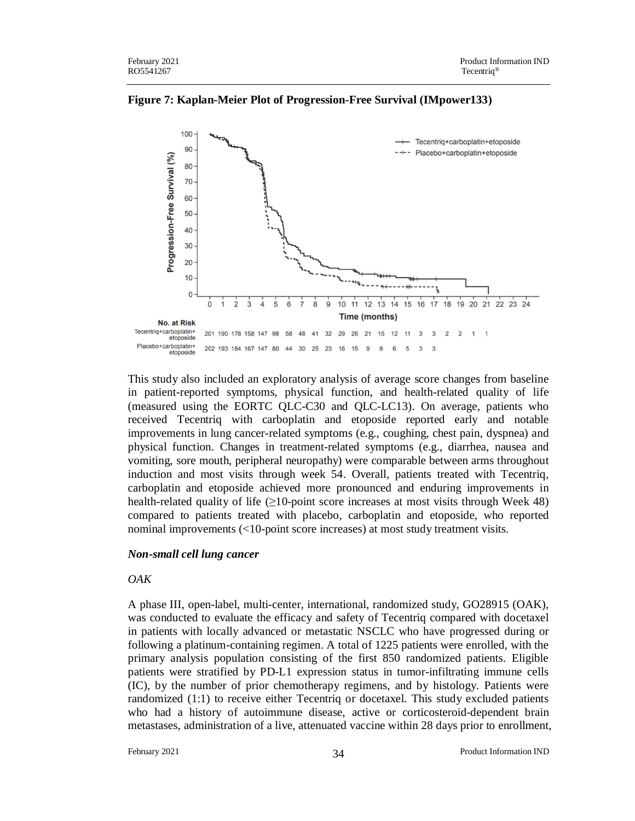

**Figure 7: Kaplan-Meier Plot of Progression-Free Survival (IMpower133)**

This study also included an exploratory analysis of average score changes from baseline in patient-reported symptoms, physical function, and health-related quality of life (measured using the EORTC QLC-C30 and QLC-LC13). On average, patients who received Tecentriq with carboplatin and etoposide reported early and notable improvements in lung cancer-related symptoms (e.g., coughing, chest pain, dyspnea) and physical function. Changes in treatment-related symptoms (e.g., diarrhea, nausea and vomiting, sore mouth, peripheral neuropathy) were comparable between arms throughout induction and most visits through week 54. Overall, patients treated with Tecentriq, carboplatin and etoposide achieved more pronounced and enduring improvements in health-related quality of life  $\geq 10$ -point score increases at most visits through Week 48) compared to patients treated with placebo, carboplatin and etoposide, who reported nominal improvements (<10-point score increases) at most study treatment visits.

#### *Non-small cell lung cancer*

#### *OAK*

A phase III, open-label, multi-center, international, randomized study, GO28915 (OAK), was conducted to evaluate the efficacy and safety of Tecentriq compared with docetaxel in patients with locally advanced or metastatic NSCLC who have progressed during or following a platinum-containing regimen. A total of 1225 patients were enrolled, with the primary analysis population consisting of the first 850 randomized patients. Eligible patients were stratified by PD-L1 expression status in tumor-infiltrating immune cells (IC), by the number of prior chemotherapy regimens, and by histology. Patients were randomized (1:1) to receive either Tecentriq or docetaxel. This study excluded patients who had a history of autoimmune disease, active or corticosteroid-dependent brain metastases, administration of a live, attenuated vaccine within 28 days prior to enrollment,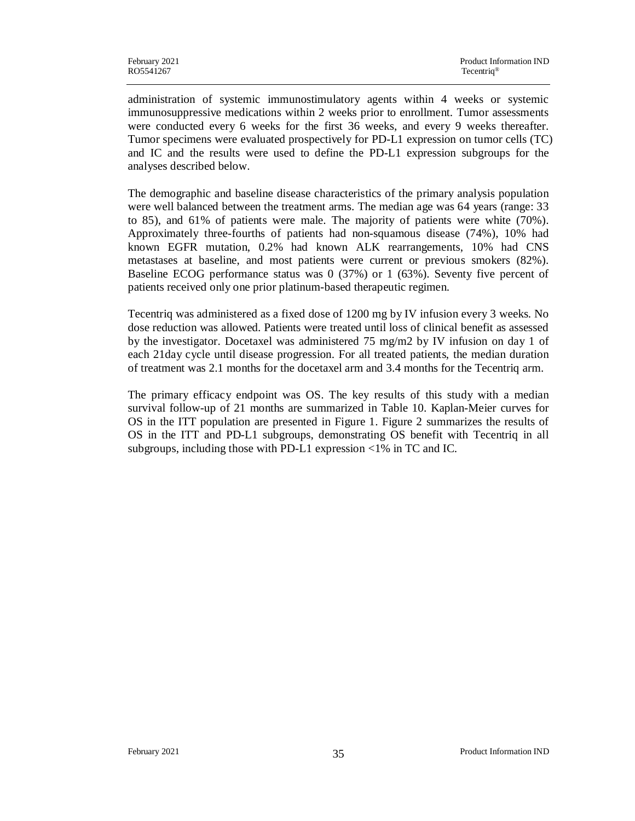administration of systemic immunostimulatory agents within 4 weeks or systemic immunosuppressive medications within 2 weeks prior to enrollment. Tumor assessments were conducted every 6 weeks for the first 36 weeks, and every 9 weeks thereafter. Tumor specimens were evaluated prospectively for PD-L1 expression on tumor cells (TC) and IC and the results were used to define the PD-L1 expression subgroups for the analyses described below.

The demographic and baseline disease characteristics of the primary analysis population were well balanced between the treatment arms. The median age was 64 years (range: 33 to 85), and 61% of patients were male. The majority of patients were white (70%). Approximately three-fourths of patients had non-squamous disease (74%), 10% had known EGFR mutation, 0.2% had known ALK rearrangements, 10% had CNS metastases at baseline, and most patients were current or previous smokers (82%). Baseline ECOG performance status was 0 (37%) or 1 (63%). Seventy five percent of patients received only one prior platinum-based therapeutic regimen.

Tecentriq was administered as a fixed dose of 1200 mg by IV infusion every 3 weeks. No dose reduction was allowed. Patients were treated until loss of clinical benefit as assessed by the investigator. Docetaxel was administered 75 mg/m2 by IV infusion on day 1 of each 21day cycle until disease progression. For all treated patients, the median duration of treatment was 2.1 months for the docetaxel arm and 3.4 months for the Tecentriq arm.

The primary efficacy endpoint was OS. The key results of this study with a median survival follow-up of 21 months are summarized in Table 10. Kaplan-Meier curves for OS in the ITT population are presented in Figure 1. Figure 2 summarizes the results of OS in the ITT and PD-L1 subgroups, demonstrating OS benefit with Tecentriq in all subgroups, including those with PD-L1 expression <1% in TC and IC.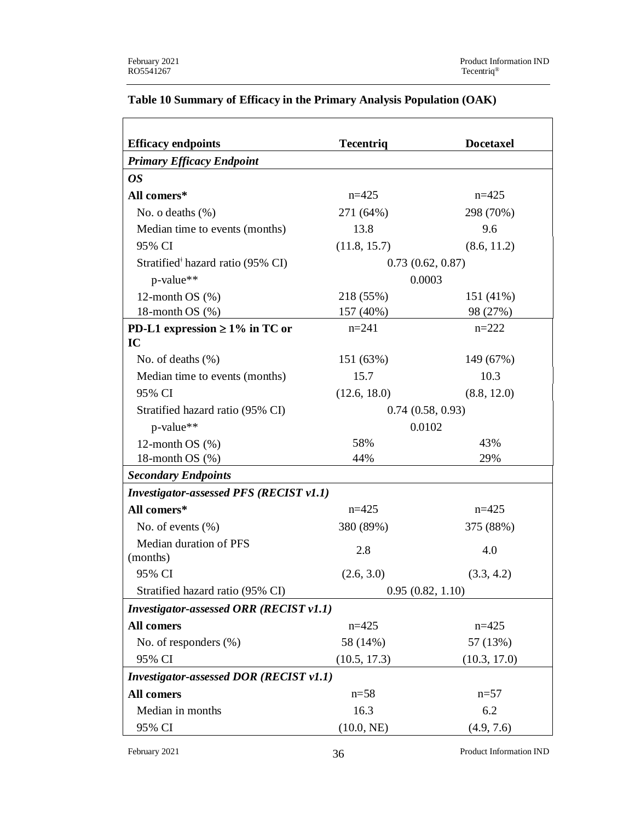| <b>Efficacy endpoints</b>                      | <b>Tecentriq</b> | <b>Docetaxel</b> |  |
|------------------------------------------------|------------------|------------------|--|
| <b>Primary Efficacy Endpoint</b>               |                  |                  |  |
| <i>OS</i>                                      |                  |                  |  |
| All comers*                                    | $n=425$          | $n=425$          |  |
| No. o deaths $(\%)$                            | 271 (64%)        | 298 (70%)        |  |
| Median time to events (months)                 | 13.8             | 9.6              |  |
| 95% CI                                         | (11.8, 15.7)     | (8.6, 11.2)      |  |
| Stratified <sup>†</sup> hazard ratio (95% CI)  |                  | 0.73(0.62, 0.87) |  |
| p-value**                                      |                  | 0.0003           |  |
| 12-month $OS(%)$                               | 218 (55%)        | 151 (41%)        |  |
| 18-month OS $(\%)$                             | 157 (40%)        | 98 (27%)         |  |
| PD-L1 expression $\geq 1\%$ in TC or<br>IC     | $n=241$          | $n = 222$        |  |
| No. of deaths $(\%)$                           | 151 (63%)        | 149 (67%)        |  |
| Median time to events (months)                 | 15.7             | 10.3             |  |
| 95% CI                                         | (12.6, 18.0)     | (8.8, 12.0)      |  |
| Stratified hazard ratio (95% CI)               | 0.74(0.58, 0.93) |                  |  |
| p-value**                                      | 0.0102           |                  |  |
| 12-month $OS$ $%$                              | 58%              | 43%              |  |
| 18-month $OS$ $(\%)$                           | 44%              | 29%              |  |
| <b>Secondary Endpoints</b>                     |                  |                  |  |
| <b>Investigator-assessed PFS (RECIST v1.1)</b> |                  |                  |  |
| All comers*                                    | $n=425$          | $n=425$          |  |
| No. of events $(\% )$                          | 380 (89%)        | 375 (88%)        |  |
| Median duration of PFS<br>(months)             | 2.8              | 4.0              |  |
| 95% CI                                         | (2.6, 3.0)       | (3.3, 4.2)       |  |
| Stratified hazard ratio (95% CI)               |                  | 0.95(0.82, 1.10) |  |
| <b>Investigator-assessed ORR (RECIST v1.1)</b> |                  |                  |  |
| <b>All comers</b>                              | $n=425$          | $n=425$          |  |
| No. of responders (%)                          | 58 (14%)         | 57 (13%)         |  |
| 95% CI                                         | (10.5, 17.3)     | (10.3, 17.0)     |  |
| <b>Investigator-assessed DOR (RECIST v1.1)</b> |                  |                  |  |
| All comers                                     | $n = 58$         | $n = 57$         |  |
| Median in months                               | 16.3             | 6.2              |  |
| 95% CI                                         | (10.0, NE)       | (4.9, 7.6)       |  |

## **Table 10 Summary of Efficacy in the Primary Analysis Population (OAK)**

February 2021 Product Information IND 36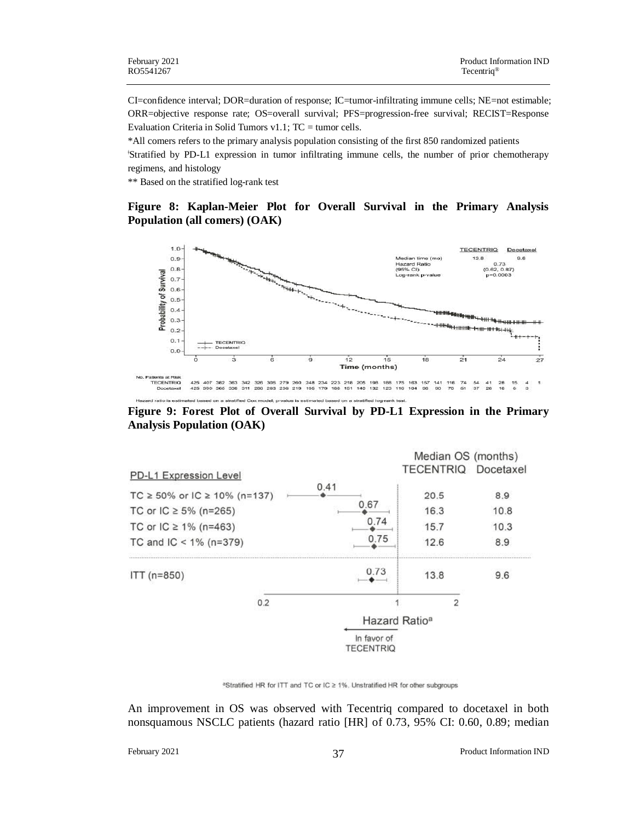CI=confidence interval; DOR=duration of response; IC=tumor-infiltrating immune cells; NE=not estimable; ORR=objective response rate; OS=overall survival; PFS=progression-free survival; RECIST=Response Evaluation Criteria in Solid Tumors v1.1; TC = tumor cells.

\*All comers refers to the primary analysis population consisting of the first 850 randomized patients <sup>ǂ</sup>Stratified by PD-L1 expression in tumor infiltrating immune cells, the number of prior chemotherapy regimens, and histology

\*\* Based on the stratified log-rank test

#### **Figure 8: Kaplan-Meier Plot for Overall Survival in the Primary Analysis Population (all comers) (OAK)**



**Figure 9: Forest Plot of Overall Survival by PD-L1 Expression in the Primary Analysis Population (OAK)**

|                                                                                                                                |     |                                 | Median OS (months)           |                            |
|--------------------------------------------------------------------------------------------------------------------------------|-----|---------------------------------|------------------------------|----------------------------|
| PD-L1 Expression Level                                                                                                         |     |                                 | <b>TECENTRIQ Docetaxel</b>   |                            |
| TC $\ge$ 50% or IC $\ge$ 10% (n=137)<br>TC or IC $\geq 5\%$ (n=265)<br>TC or $IC \ge 1\%$ (n=463)<br>TC and IC < $1\%$ (n=379) |     | 0.41<br>0.67<br>0.74<br>0.75    | 20.5<br>16.3<br>15.7<br>12.6 | 8.9<br>10.8<br>10.3<br>8.9 |
| $ITT (n=850)$                                                                                                                  |     | 0.73                            | 13.8                         | 9.6                        |
|                                                                                                                                | 0.2 |                                 | 2                            |                            |
|                                                                                                                                |     |                                 | Hazard Ratio <sup>a</sup>    |                            |
|                                                                                                                                |     | In favor of<br><b>TECENTRIQ</b> |                              |                            |

<sup>a</sup>Stratified HR for ITT and TC or IC ≥ 1%. Unstratified HR for other subgroups

An improvement in OS was observed with Tecentriq compared to docetaxel in both nonsquamous NSCLC patients (hazard ratio [HR] of 0.73, 95% CI: 0.60, 0.89; median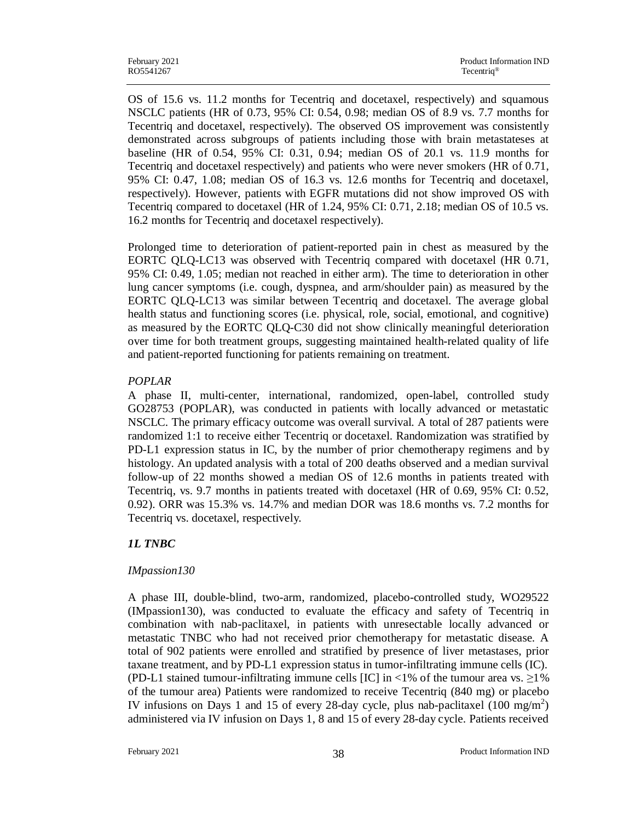OS of 15.6 vs. 11.2 months for Tecentriq and docetaxel, respectively) and squamous NSCLC patients (HR of 0.73, 95% CI: 0.54, 0.98; median OS of 8.9 vs. 7.7 months for Tecentriq and docetaxel, respectively). The observed OS improvement was consistently demonstrated across subgroups of patients including those with brain metastateses at baseline (HR of 0.54, 95% CI: 0.31, 0.94; median OS of 20.1 vs. 11.9 months for Tecentriq and docetaxel respectively) and patients who were never smokers (HR of 0.71, 95% CI: 0.47, 1.08; median OS of 16.3 vs. 12.6 months for Tecentriq and docetaxel, respectively). However, patients with EGFR mutations did not show improved OS with Tecentriq compared to docetaxel (HR of 1.24, 95% CI: 0.71, 2.18; median OS of 10.5 vs. 16.2 months for Tecentriq and docetaxel respectively).

Prolonged time to deterioration of patient-reported pain in chest as measured by the EORTC QLQ-LC13 was observed with Tecentriq compared with docetaxel (HR 0.71, 95% CI: 0.49, 1.05; median not reached in either arm). The time to deterioration in other lung cancer symptoms (i.e. cough, dyspnea, and arm/shoulder pain) as measured by the EORTC QLQ-LC13 was similar between Tecentriq and docetaxel. The average global health status and functioning scores (i.e. physical, role, social, emotional, and cognitive) as measured by the EORTC QLQ-C30 did not show clinically meaningful deterioration over time for both treatment groups, suggesting maintained health-related quality of life and patient-reported functioning for patients remaining on treatment.

### *POPLAR*

A phase II, multi-center, international, randomized, open-label, controlled study GO28753 (POPLAR), was conducted in patients with locally advanced or metastatic NSCLC. The primary efficacy outcome was overall survival. A total of 287 patients were randomized 1:1 to receive either Tecentriq or docetaxel. Randomization was stratified by PD-L1 expression status in IC, by the number of prior chemotherapy regimens and by histology. An updated analysis with a total of 200 deaths observed and a median survival follow-up of 22 months showed a median OS of 12.6 months in patients treated with Tecentriq, vs. 9.7 months in patients treated with docetaxel (HR of 0.69, 95% CI: 0.52, 0.92). ORR was 15.3% vs. 14.7% and median DOR was 18.6 months vs. 7.2 months for Tecentriq vs. docetaxel, respectively.

## *1L TNBC*

## *IMpassion130*

A phase III, double-blind, two-arm, randomized, placebo-controlled study, WO29522 (IMpassion130), was conducted to evaluate the efficacy and safety of Tecentriq in combination with nab-paclitaxel, in patients with unresectable locally advanced or metastatic TNBC who had not received prior chemotherapy for metastatic disease. A total of 902 patients were enrolled and stratified by presence of liver metastases, prior taxane treatment, and by PD-L1 expression status in tumor-infiltrating immune cells (IC). (PD-L1 stained tumour-infiltrating immune cells [IC] in <1% of the tumour area vs.  $\geq$ 1% of the tumour area) Patients were randomized to receive Tecentriq (840 mg) or placebo IV infusions on Days 1 and 15 of every 28-day cycle, plus nab-paclitaxel  $(100 \text{ mg/m}^2)$ administered via IV infusion on Days 1, 8 and 15 of every 28-day cycle. Patients received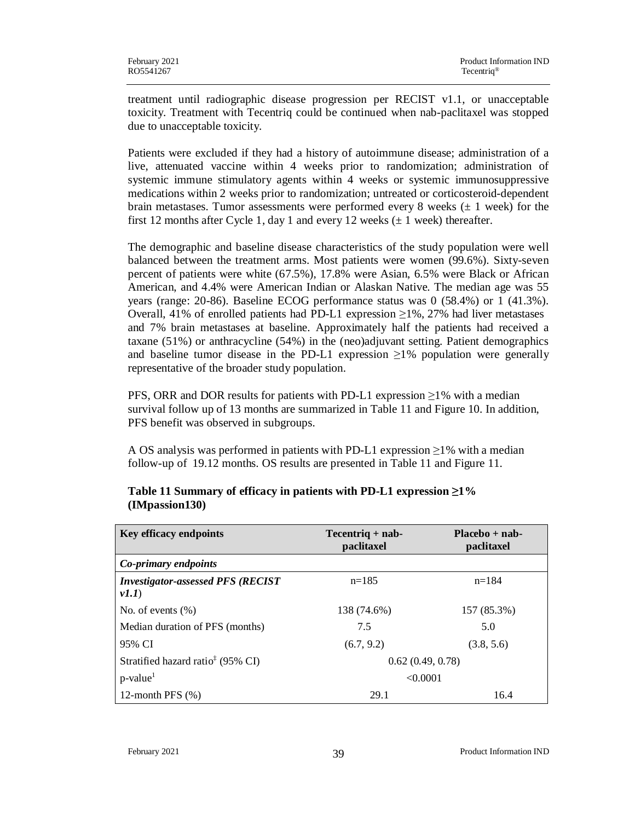treatment until radiographic disease progression per RECIST v1.1, or unacceptable toxicity. Treatment with Tecentriq could be continued when nab-paclitaxel was stopped due to unacceptable toxicity.

Patients were excluded if they had a history of autoimmune disease; administration of a live, attenuated vaccine within 4 weeks prior to randomization; administration of systemic immune stimulatory agents within 4 weeks or systemic immunosuppressive medications within 2 weeks prior to randomization; untreated or corticosteroid-dependent brain metastases. Tumor assessments were performed every 8 weeks ( $\pm$  1 week) for the first 12 months after Cycle 1, day 1 and every 12 weeks ( $\pm$  1 week) thereafter.

The demographic and baseline disease characteristics of the study population were well balanced between the treatment arms. Most patients were women (99.6%). Sixty-seven percent of patients were white (67.5%), 17.8% were Asian, 6.5% were Black or African American, and 4.4% were American Indian or Alaskan Native. The median age was 55 years (range: 20-86). Baseline ECOG performance status was 0 (58.4%) or 1 (41.3%). Overall, 41% of enrolled patients had PD-L1 expression  $\geq$ 1%, 27% had liver metastases and 7% brain metastases at baseline. Approximately half the patients had received a taxane (51%) or anthracycline (54%) in the (neo)adjuvant setting. Patient demographics and baseline tumor disease in the PD-L1 expression  $\geq 1\%$  population were generally representative of the broader study population.

PFS, ORR and DOR results for patients with PD-L1 expression  $\geq$ 1% with a median survival follow up of 13 months are summarized in Table 11 and Figure 10. In addition, PFS benefit was observed in subgroups.

A OS analysis was performed in patients with PD-L1 expression  $\geq$ 1% with a median follow-up of 19.12 months. OS results are presented in Table 11 and Figure 11.

| <b>Key efficacy endpoints</b>                     | $Tecentriq + nab -$<br>paclitaxel | $Placebo + nab -$<br>paclitaxel |
|---------------------------------------------------|-----------------------------------|---------------------------------|
| Co-primary endpoints                              |                                   |                                 |
| <b>Investigator-assessed PFS (RECIST)</b><br>vI.1 | $n=185$                           | $n=184$                         |
| No. of events $(\%)$                              | 138 (74.6%)                       | 157 (85.3%)                     |
| Median duration of PFS (months)                   | 7.5                               | 5.0                             |
| 95% CI                                            | (6.7, 9.2)                        | (3.8, 5.6)                      |
| Stratified hazard ratio <sup>‡</sup> (95% CI)     | 0.62(0.49, 0.78)                  |                                 |
| $p$ -value <sup>1</sup>                           | < 0.0001                          |                                 |
| 12-month PFS $(\%)$                               | 29.1                              | 16.4                            |

## **Table 11 Summary of efficacy in patients with PD-L1 expression ≥1% (IMpassion130)**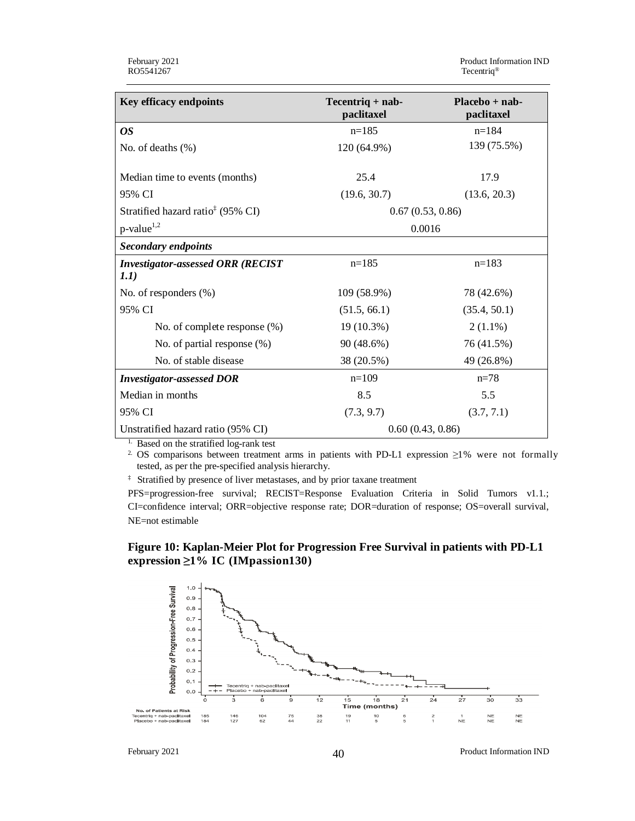| Key efficacy endpoints                                            | $Tecentriq + nab -$<br>paclitaxel | $Placebo + nab -$<br>paclitaxel |  |  |  |
|-------------------------------------------------------------------|-----------------------------------|---------------------------------|--|--|--|
| <b>OS</b>                                                         | $n=185$                           | $n=184$                         |  |  |  |
| No. of deaths $(\%)$                                              | 120 (64.9%)                       | 139 (75.5%)                     |  |  |  |
|                                                                   |                                   |                                 |  |  |  |
| Median time to events (months)                                    | 25.4                              | 17.9                            |  |  |  |
| 95% CI                                                            | (19.6, 30.7)                      | (13.6, 20.3)                    |  |  |  |
| Stratified hazard ratio <sup><math>\ddagger</math></sup> (95% CI) | 0.67(0.53, 0.86)                  |                                 |  |  |  |
| $p$ -value <sup>1,2</sup>                                         | 0.0016                            |                                 |  |  |  |
| <b>Secondary endpoints</b>                                        |                                   |                                 |  |  |  |
| <b>Investigator-assessed ORR (RECIST</b>                          | $n=185$                           | $n=183$                         |  |  |  |
| 1.1)                                                              |                                   |                                 |  |  |  |
| No. of responders $(\%)$                                          | 109 (58.9%)                       | 78 (42.6%)                      |  |  |  |
| 95% CI                                                            | (51.5, 66.1)                      | (35.4, 50.1)                    |  |  |  |
| No. of complete response (%)                                      | 19 (10.3%)                        | $2(1.1\%)$                      |  |  |  |
| No. of partial response $(\%)$                                    | 90 (48.6%)                        | 76 (41.5%)                      |  |  |  |
| No. of stable disease                                             | 38 (20.5%)                        | 49 (26.8%)                      |  |  |  |
| <b>Investigator-assessed DOR</b>                                  | $n=109$                           | $n=78$                          |  |  |  |
| Median in months                                                  | 8.5                               | 5.5                             |  |  |  |
| 95% CI                                                            | (7.3, 9.7)                        | (3.7, 7.1)                      |  |  |  |
| Unstratified hazard ratio (95% CI)                                | 0.60(0.43, 0.86)                  |                                 |  |  |  |

1. Based on the stratified log-rank test

2. OS comparisons between treatment arms in patients with PD-L1 expression ≥1% were not formally tested, as per the pre-specified analysis hierarchy.

‡ Stratified by presence of liver metastases, and by prior taxane treatment

PFS=progression-free survival; RECIST=Response Evaluation Criteria in Solid Tumors v1.1.; CI=confidence interval; ORR=objective response rate; DOR=duration of response; OS=overall survival, NE=not estimable

### **Figure 10: Kaplan-Meier Plot for Progression Free Survival in patients with PD-L1 expression ≥1% IC (IMpassion130)**



February 2021 **Product Information IND** Product Information IND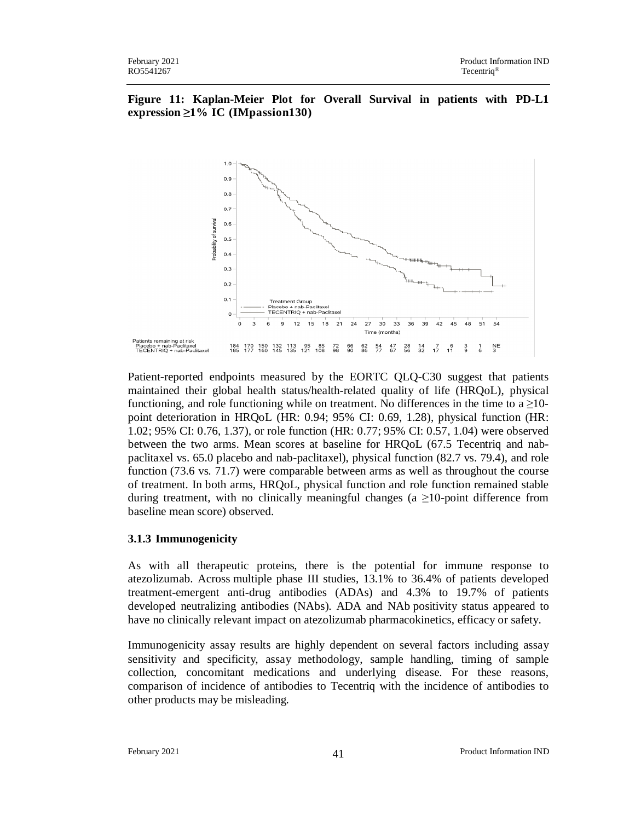



Patient-reported endpoints measured by the EORTC QLQ-C30 suggest that patients maintained their global health status/health-related quality of life (HRQoL), physical functioning, and role functioning while on treatment. No differences in the time to a  $\geq$ 10point deterioration in HRQoL (HR: 0.94; 95% CI: 0.69, 1.28), physical function (HR: 1.02; 95% CI: 0.76, 1.37), or role function (HR: 0.77; 95% CI: 0.57, 1.04) were observed between the two arms. Mean scores at baseline for HRQoL (67.5 Tecentriq and nabpaclitaxel vs. 65.0 placebo and nab-paclitaxel), physical function (82.7 vs. 79.4), and role function (73.6 vs. 71.7) were comparable between arms as well as throughout the course of treatment. In both arms, HRQoL, physical function and role function remained stable during treatment, with no clinically meaningful changes (a  $\geq$ 10-point difference from baseline mean score) observed.

### **3.1.3 Immunogenicity**

As with all therapeutic proteins, there is the potential for immune response to atezolizumab. Across multiple phase III studies, 13.1% to 36.4% of patients developed treatment-emergent anti-drug antibodies (ADAs) and 4.3% to 19.7% of patients developed neutralizing antibodies (NAbs). ADA and NAb positivity status appeared to have no clinically relevant impact on atezolizumab pharmacokinetics, efficacy or safety.

Immunogenicity assay results are highly dependent on several factors including assay sensitivity and specificity, assay methodology, sample handling, timing of sample collection, concomitant medications and underlying disease. For these reasons, comparison of incidence of antibodies to Tecentriq with the incidence of antibodies to other products may be misleading.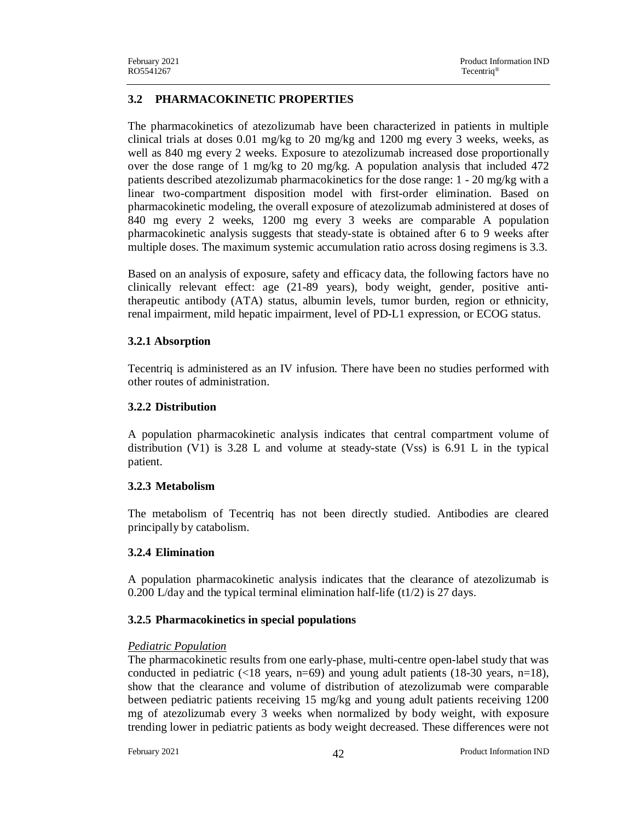## **3.2 PHARMACOKINETIC PROPERTIES**

The pharmacokinetics of atezolizumab have been characterized in patients in multiple clinical trials at doses 0.01 mg/kg to 20 mg/kg and 1200 mg every 3 weeks, weeks, as well as 840 mg every 2 weeks. Exposure to atezolizumab increased dose proportionally over the dose range of 1 mg/kg to 20 mg/kg. A population analysis that included 472 patients described atezolizumab pharmacokinetics for the dose range: 1 - 20 mg/kg with a linear two-compartment disposition model with first-order elimination. Based on pharmacokinetic modeling, the overall exposure of atezolizumab administered at doses of 840 mg every 2 weeks, 1200 mg every 3 weeks are comparable A population pharmacokinetic analysis suggests that steady-state is obtained after 6 to 9 weeks after multiple doses. The maximum systemic accumulation ratio across dosing regimens is 3.3.

Based on an analysis of exposure, safety and efficacy data, the following factors have no clinically relevant effect: age (21-89 years), body weight, gender, positive antitherapeutic antibody (ATA) status, albumin levels, tumor burden, region or ethnicity, renal impairment, mild hepatic impairment, level of PD-L1 expression, or ECOG status.

### **3.2.1 Absorption**

Tecentriq is administered as an IV infusion. There have been no studies performed with other routes of administration.

### **3.2.2 Distribution**

A population pharmacokinetic analysis indicates that central compartment volume of distribution (V1) is 3.28 L and volume at steady-state (Vss) is 6.91 L in the typical patient.

## **3.2.3 Metabolism**

The metabolism of Tecentriq has not been directly studied. Antibodies are cleared principally by catabolism.

## **3.2.4 Elimination**

A population pharmacokinetic analysis indicates that the clearance of atezolizumab is 0.200 L/day and the typical terminal elimination half-life  $(t1/2)$  is 27 days.

## **3.2.5 Pharmacokinetics in special populations**

### *Pediatric Population*

The pharmacokinetic results from one early-phase, multi-centre open-label study that was conducted in pediatric ( $\langle 18 \text{ years}, \text{ n=69} \rangle$  and young adult patients (18-30 years,  $\text{n=18}$ ), show that the clearance and volume of distribution of atezolizumab were comparable between pediatric patients receiving 15 mg/kg and young adult patients receiving 1200 mg of atezolizumab every 3 weeks when normalized by body weight, with exposure trending lower in pediatric patients as body weight decreased. These differences were not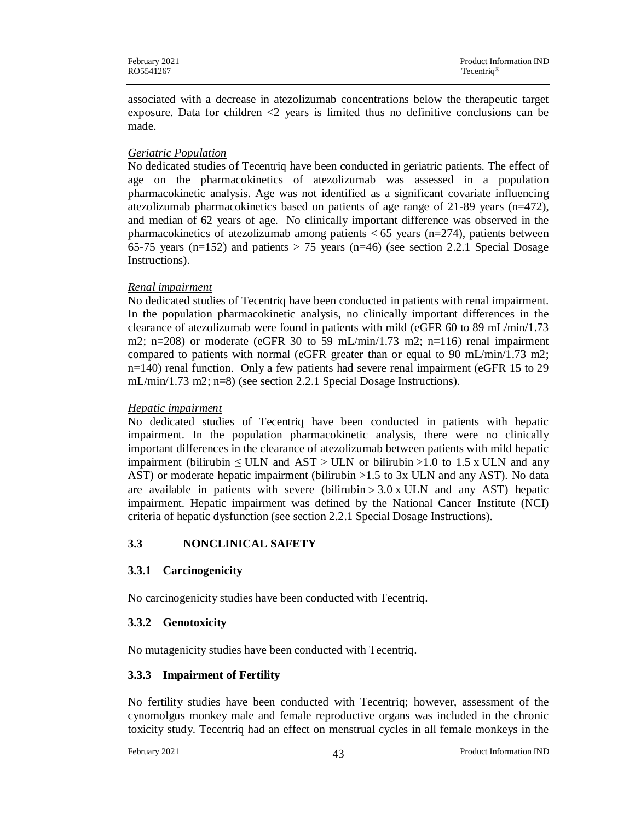associated with a decrease in atezolizumab concentrations below the therapeutic target exposure. Data for children <2 years is limited thus no definitive conclusions can be made.

### *Geriatric Population*

No dedicated studies of Tecentriq have been conducted in geriatric patients. The effect of age on the pharmacokinetics of atezolizumab was assessed in a population pharmacokinetic analysis. Age was not identified as a significant covariate influencing atezolizumab pharmacokinetics based on patients of age range of 21-89 years (n=472), and median of 62 years of age. No clinically important difference was observed in the pharmacokinetics of atezolizumab among patients  $<$  65 years (n=274), patients between 65-75 years (n=152) and patients  $> 75$  years (n=46) (see section 2.2.1 Special Dosage Instructions).

### *Renal impairment*

No dedicated studies of Tecentriq have been conducted in patients with renal impairment. In the population pharmacokinetic analysis, no clinically important differences in the clearance of atezolizumab were found in patients with mild (eGFR 60 to 89 mL/min/1.73 m2; n=208) or moderate (eGFR 30 to 59 mL/min/1.73 m2; n=116) renal impairment compared to patients with normal (eGFR greater than or equal to 90 mL/min/1.73 m2; n=140) renal function. Only a few patients had severe renal impairment (eGFR 15 to 29 mL/min/1.73 m2; n=8) (see section 2.2.1 Special Dosage Instructions).

### *Hepatic impairment*

No dedicated studies of Tecentriq have been conducted in patients with hepatic impairment. In the population pharmacokinetic analysis, there were no clinically important differences in the clearance of atezolizumab between patients with mild hepatic impairment (bilirubin  $\leq$  ULN and AST  $>$  ULN or bilirubin  $>1.0$  to 1.5 x ULN and any AST) or moderate hepatic impairment (bilirubin >1.5 to 3x ULN and any AST). No data are available in patients with severe (bilirubin  $> 3.0$  x ULN and any AST) hepatic impairment. Hepatic impairment was defined by the National Cancer Institute (NCI) criteria of hepatic dysfunction (see section 2.2.1 Special Dosage Instructions).

## **3.3 NONCLINICAL SAFETY**

## **3.3.1 Carcinogenicity**

No carcinogenicity studies have been conducted with Tecentriq.

## **3.3.2 Genotoxicity**

No mutagenicity studies have been conducted with Tecentriq.

## **3.3.3 Impairment of Fertility**

No fertility studies have been conducted with Tecentriq; however, assessment of the cynomolgus monkey male and female reproductive organs was included in the chronic toxicity study. Tecentriq had an effect on menstrual cycles in all female monkeys in the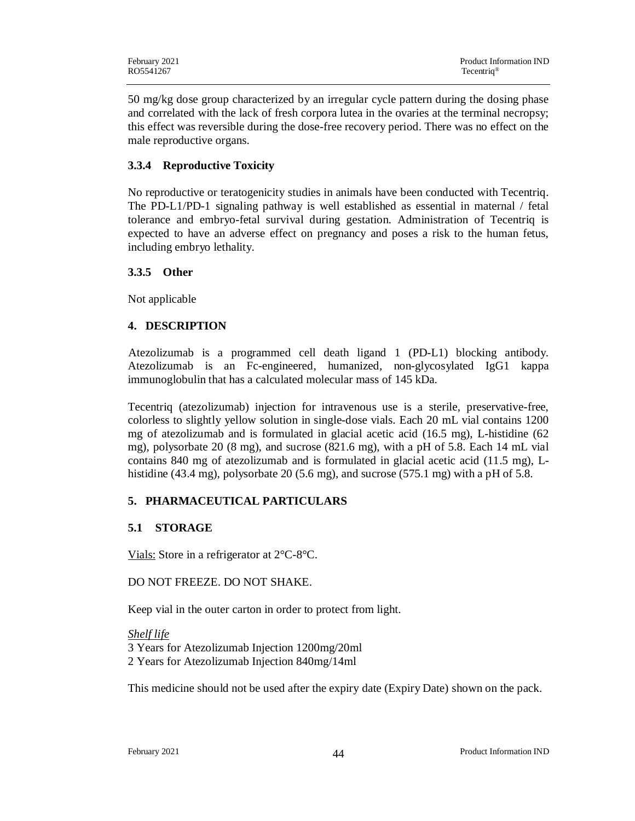50 mg/kg dose group characterized by an irregular cycle pattern during the dosing phase and correlated with the lack of fresh corpora lutea in the ovaries at the terminal necropsy; this effect was reversible during the dose-free recovery period. There was no effect on the male reproductive organs.

## **3.3.4 Reproductive Toxicity**

No reproductive or teratogenicity studies in animals have been conducted with Tecentriq. The PD-L1/PD-1 signaling pathway is well established as essential in maternal / fetal tolerance and embryo-fetal survival during gestation. Administration of Tecentriq is expected to have an adverse effect on pregnancy and poses a risk to the human fetus, including embryo lethality.

### **3.3.5 Other**

Not applicable

## **4. DESCRIPTION**

 Atezolizumab is a programmed cell death ligand 1 (PD-L1) blocking antibody. Atezolizumab is an Fc-engineered, humanized, non-glycosylated IgG1 kappa immunoglobulin that has a calculated molecular mass of 145 kDa.

Tecentriq (atezolizumab) injection for intravenous use is a sterile, preservative-free, colorless to slightly yellow solution in single-dose vials. Each 20 mL vial contains 1200 mg of atezolizumab and is formulated in glacial acetic acid (16.5 mg), L-histidine (62 mg), polysorbate 20 (8 mg), and sucrose (821.6 mg), with a pH of 5.8. Each 14 mL vial contains 840 mg of atezolizumab and is formulated in glacial acetic acid (11.5 mg), Lhistidine (43.4 mg), polysorbate 20 (5.6 mg), and sucrose (575.1 mg) with a pH of 5.8.

## **5. PHARMACEUTICAL PARTICULARS**

## **5.1 STORAGE**

Vials: Store in a refrigerator at 2°C-8°C.

### DO NOT FREEZE. DO NOT SHAKE.

Keep vial in the outer carton in order to protect from light.

*Shelf life* 3 Years for Atezolizumab Injection 1200mg/20ml 2 Years for Atezolizumab Injection 840mg/14ml

This medicine should not be used after the expiry date (Expiry Date) shown on the pack.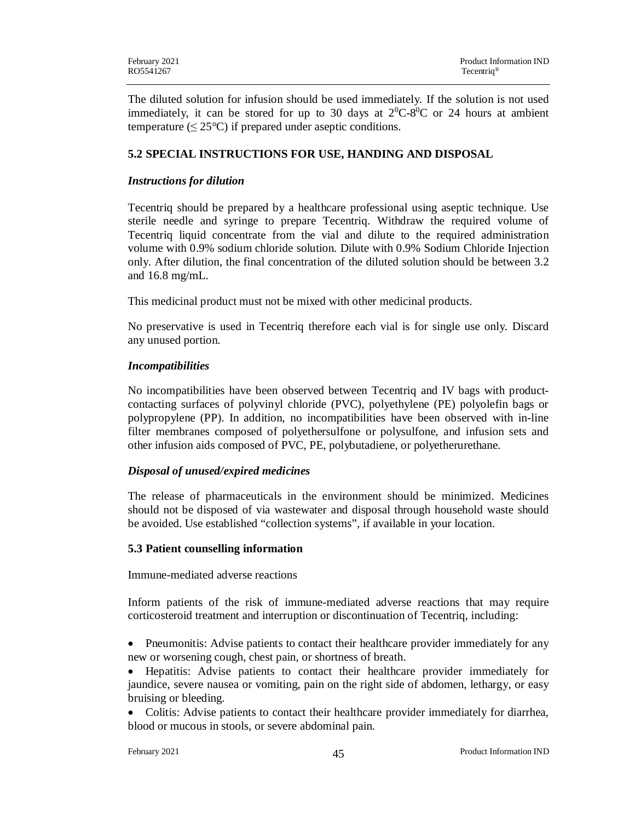The diluted solution for infusion should be used immediately. If the solution is not used immediately, it can be stored for up to 30 days at  $2^0C-8^0C$  or 24 hours at ambient temperature  $(\leq 25^{\circ}\text{C})$  if prepared under aseptic conditions.

## **5.2 SPECIAL INSTRUCTIONS FOR USE, HANDING AND DISPOSAL**

### *Instructions for dilution*

Tecentriq should be prepared by a healthcare professional using aseptic technique. Use sterile needle and syringe to prepare Tecentriq. Withdraw the required volume of Tecentriq liquid concentrate from the vial and dilute to the required administration volume with 0.9% sodium chloride solution. Dilute with 0.9% Sodium Chloride Injection only. After dilution, the final concentration of the diluted solution should be between 3.2 and 16.8 mg/mL.

This medicinal product must not be mixed with other medicinal products.

No preservative is used in Tecentriq therefore each vial is for single use only. Discard any unused portion.

### *Incompatibilities*

No incompatibilities have been observed between Tecentriq and IV bags with productcontacting surfaces of polyvinyl chloride (PVC), polyethylene (PE) polyolefin bags or polypropylene (PP). In addition, no incompatibilities have been observed with in-line filter membranes composed of polyethersulfone or polysulfone, and infusion sets and other infusion aids composed of PVC, PE, polybutadiene, or polyetherurethane.

## *Disposal of unused/expired medicines*

The release of pharmaceuticals in the environment should be minimized. Medicines should not be disposed of via wastewater and disposal through household waste should be avoided. Use established "collection systems", if available in your location.

### **5.3 Patient counselling information**

Immune-mediated adverse reactions

Inform patients of the risk of immune-mediated adverse reactions that may require corticosteroid treatment and interruption or discontinuation of Tecentriq, including:

• Pneumonitis: Advise patients to contact their healthcare provider immediately for any new or worsening cough, chest pain, or shortness of breath.

· Hepatitis: Advise patients to contact their healthcare provider immediately for jaundice, severe nausea or vomiting, pain on the right side of abdomen, lethargy, or easy bruising or bleeding.

• Colitis: Advise patients to contact their healthcare provider immediately for diarrhea, blood or mucous in stools, or severe abdominal pain.